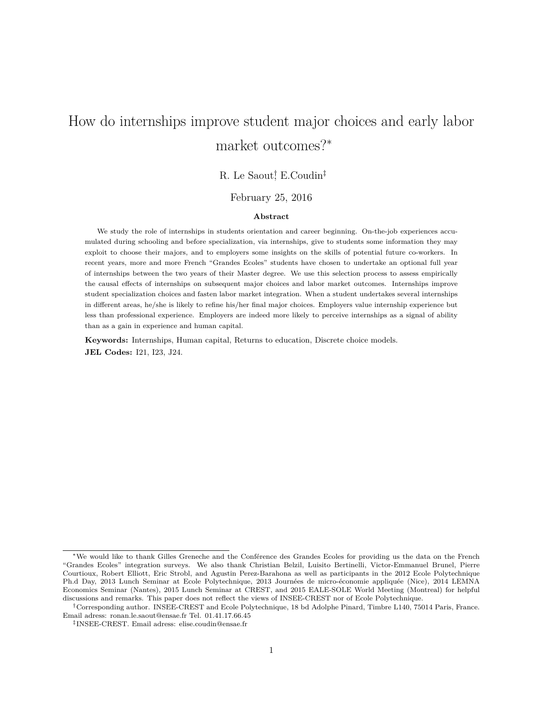# How do internships improve student major choices and early labor market outcomes?<sup>∗</sup>

### R. Le Saout<sup>†</sup>, E.Coudin<sup>‡</sup>

#### February 25, 2016

#### **Abstract**

We study the role of internships in students orientation and career beginning. On-the-job experiences accumulated during schooling and before specialization, via internships, give to students some information they may exploit to choose their majors, and to employers some insights on the skills of potential future co-workers. In recent years, more and more French "Grandes Ecoles" students have chosen to undertake an optional full year of internships between the two years of their Master degree. We use this selection process to assess empirically the causal effects of internships on subsequent major choices and labor market outcomes. Internships improve student specialization choices and fasten labor market integration. When a student undertakes several internships in different areas, he/she is likely to refine his/her final major choices. Employers value internship experience but less than professional experience. Employers are indeed more likely to perceive internships as a signal of ability than as a gain in experience and human capital.

**Keywords:** Internships, Human capital, Returns to education, Discrete choice models. **JEL Codes:** I21, I23, J24.

<sup>∗</sup>We would like to thank Gilles Greneche and the Conférence des Grandes Ecoles for providing us the data on the French "Grandes Ecoles" integration surveys. We also thank Christian Belzil, Luisito Bertinelli, Victor-Emmanuel Brunel, Pierre Courtioux, Robert Elliott, Eric Strobl, and Agustin Perez-Barahona as well as participants in the 2012 Ecole Polytechnique Ph.d Day, 2013 Lunch Seminar at Ecole Polytechnique, 2013 Journées de micro-économie appliquée (Nice), 2014 LEMNA Economics Seminar (Nantes), 2015 Lunch Seminar at CREST, and 2015 EALE-SOLE World Meeting (Montreal) for helpful discussions and remarks. This paper does not reflect the views of INSEE-CREST nor of Ecole Polytechnique.

<sup>†</sup>Corresponding author. INSEE-CREST and Ecole Polytechnique, 18 bd Adolphe Pinard, Timbre L140, 75014 Paris, France. Email adress: ronan.le.saout@ensae.fr Tel. 01.41.17.66.45

<sup>‡</sup> INSEE-CREST. Email adress: elise.coudin@ensae.fr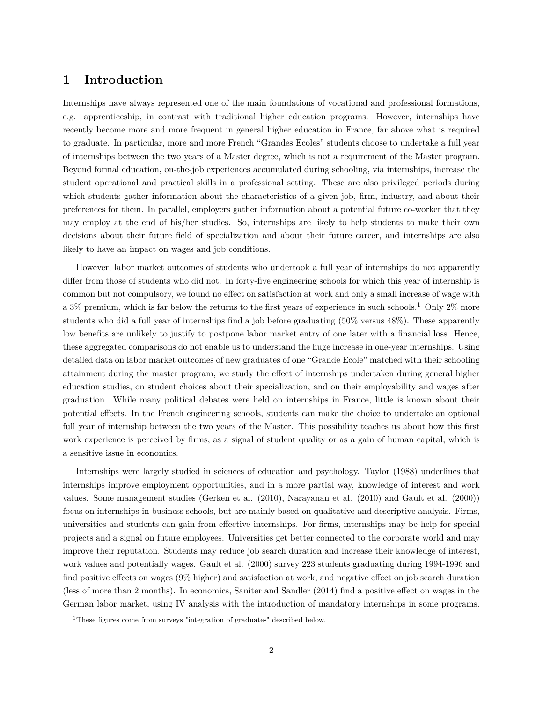### **1 Introduction**

Internships have always represented one of the main foundations of vocational and professional formations, e.g. apprenticeship, in contrast with traditional higher education programs. However, internships have recently become more and more frequent in general higher education in France, far above what is required to graduate. In particular, more and more French "Grandes Ecoles" students choose to undertake a full year of internships between the two years of a Master degree, which is not a requirement of the Master program. Beyond formal education, on-the-job experiences accumulated during schooling, via internships, increase the student operational and practical skills in a professional setting. These are also privileged periods during which students gather information about the characteristics of a given job, firm, industry, and about their preferences for them. In parallel, employers gather information about a potential future co-worker that they may employ at the end of his/her studies. So, internships are likely to help students to make their own decisions about their future field of specialization and about their future career, and internships are also likely to have an impact on wages and job conditions.

However, labor market outcomes of students who undertook a full year of internships do not apparently differ from those of students who did not. In forty-five engineering schools for which this year of internship is common but not compulsory, we found no effect on satisfaction at work and only a small increase of wage with a 3% premium, which is far below the returns to the first years of experience in such schools.<sup>1</sup> Only 2% more students who did a full year of internships find a job before graduating (50% versus 48%). These apparently low benefits are unlikely to justify to postpone labor market entry of one later with a financial loss. Hence, these aggregated comparisons do not enable us to understand the huge increase in one-year internships. Using detailed data on labor market outcomes of new graduates of one "Grande Ecole" matched with their schooling attainment during the master program, we study the effect of internships undertaken during general higher education studies, on student choices about their specialization, and on their employability and wages after graduation. While many political debates were held on internships in France, little is known about their potential effects. In the French engineering schools, students can make the choice to undertake an optional full year of internship between the two years of the Master. This possibility teaches us about how this first work experience is perceived by firms, as a signal of student quality or as a gain of human capital, which is a sensitive issue in economics.

Internships were largely studied in sciences of education and psychology. Taylor (1988) underlines that internships improve employment opportunities, and in a more partial way, knowledge of interest and work values. Some management studies (Gerken et al. (2010), Narayanan et al. (2010) and Gault et al. (2000)) focus on internships in business schools, but are mainly based on qualitative and descriptive analysis. Firms, universities and students can gain from effective internships. For firms, internships may be help for special projects and a signal on future employees. Universities get better connected to the corporate world and may improve their reputation. Students may reduce job search duration and increase their knowledge of interest, work values and potentially wages. Gault et al. (2000) survey 223 students graduating during 1994-1996 and find positive effects on wages (9% higher) and satisfaction at work, and negative effect on job search duration (less of more than 2 months). In economics, Saniter and Sandler (2014) find a positive effect on wages in the German labor market, using IV analysis with the introduction of mandatory internships in some programs.

<sup>&</sup>lt;sup>1</sup>These figures come from surveys "integration of graduates" described below.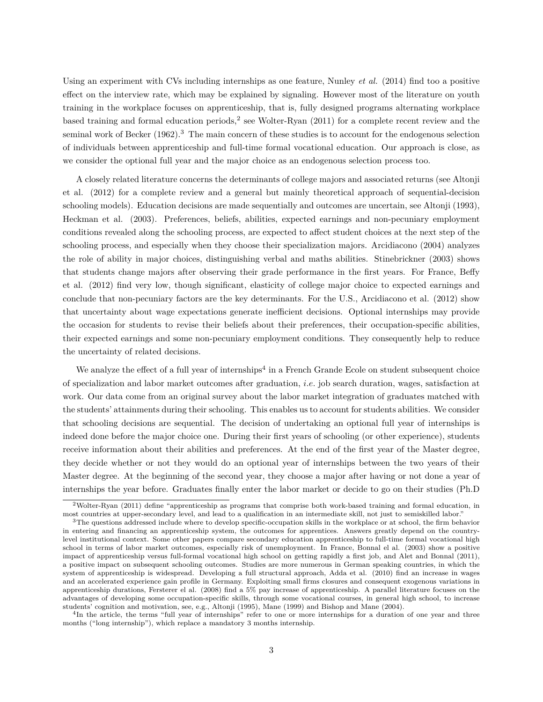Using an experiment with CVs including internships as one feature, Nunley *et al.* (2014) find too a positive effect on the interview rate, which may be explained by signaling. However most of the literature on youth training in the workplace focuses on apprenticeship, that is, fully designed programs alternating workplace based training and formal education periods,<sup>2</sup> see Wolter-Ryan  $(2011)$  for a complete recent review and the seminal work of Becker (1962).<sup>3</sup> The main concern of these studies is to account for the endogenous selection of individuals between apprenticeship and full-time formal vocational education. Our approach is close, as we consider the optional full year and the major choice as an endogenous selection process too.

A closely related literature concerns the determinants of college majors and associated returns (see Altonji et al. (2012) for a complete review and a general but mainly theoretical approach of sequential-decision schooling models). Education decisions are made sequentially and outcomes are uncertain, see Altonji (1993), Heckman et al. (2003). Preferences, beliefs, abilities, expected earnings and non-pecuniary employment conditions revealed along the schooling process, are expected to affect student choices at the next step of the schooling process, and especially when they choose their specialization majors. Arcidiacono (2004) analyzes the role of ability in major choices, distinguishing verbal and maths abilities. Stinebrickner (2003) shows that students change majors after observing their grade performance in the first years. For France, Beffy et al. (2012) find very low, though significant, elasticity of college major choice to expected earnings and conclude that non-pecuniary factors are the key determinants. For the U.S., Arcidiacono et al. (2012) show that uncertainty about wage expectations generate inefficient decisions. Optional internships may provide the occasion for students to revise their beliefs about their preferences, their occupation-specific abilities, their expected earnings and some non-pecuniary employment conditions. They consequently help to reduce the uncertainty of related decisions.

We analyze the effect of a full year of internships<sup>4</sup> in a French Grande Ecole on student subsequent choice of specialization and labor market outcomes after graduation, *i.e.* job search duration, wages, satisfaction at work. Our data come from an original survey about the labor market integration of graduates matched with the students' attainments during their schooling. This enables us to account for students abilities. We consider that schooling decisions are sequential. The decision of undertaking an optional full year of internships is indeed done before the major choice one. During their first years of schooling (or other experience), students receive information about their abilities and preferences. At the end of the first year of the Master degree, they decide whether or not they would do an optional year of internships between the two years of their Master degree. At the beginning of the second year, they choose a major after having or not done a year of internships the year before. Graduates finally enter the labor market or decide to go on their studies (Ph.D

<sup>2</sup>Wolter-Ryan (2011) define "apprenticeship as programs that comprise both work-based training and formal education, in most countries at upper-secondary level, and lead to a qualification in an intermediate skill, not just to semiskilled labor."

<sup>3</sup>The questions addressed include where to develop specific-occupation skills in the workplace or at school, the firm behavior in entering and financing an apprenticeship system, the outcomes for apprentices. Answers greatly depend on the countrylevel institutional context. Some other papers compare secondary education apprenticeship to full-time formal vocational high school in terms of labor market outcomes, especially risk of unemployment. In France, Bonnal el al. (2003) show a positive impact of apprenticeship versus full-formal vocational high school on getting rapidly a first job, and Alet and Bonnal (2011), a positive impact on subsequent schooling outcomes. Studies are more numerous in German speaking countries, in which the system of apprenticeship is widespread. Developing a full structural approach, Adda et al. (2010) find an increase in wages and an accelerated experience gain profile in Germany. Exploiting small firms closures and consequent exogenous variations in apprenticeship durations, Fersterer el al. (2008) find a 5% pay increase of apprenticeship. A parallel literature focuses on the advantages of developing some occupation-specific skills, through some vocational courses, in general high school, to increase students' cognition and motivation, see, e.g., Altonji (1995), Mane (1999) and Bishop and Mane (2004).

<sup>&</sup>lt;sup>4</sup>In the article, the terms "full year of internships" refer to one or more internships for a duration of one year and three months ("long internship"), which replace a mandatory 3 months internship.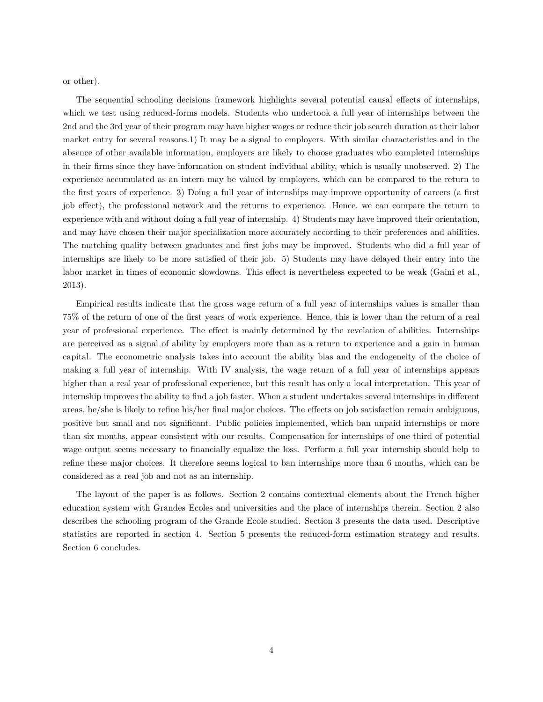or other).

The sequential schooling decisions framework highlights several potential causal effects of internships, which we test using reduced-forms models. Students who undertook a full year of internships between the 2nd and the 3rd year of their program may have higher wages or reduce their job search duration at their labor market entry for several reasons.1) It may be a signal to employers. With similar characteristics and in the absence of other available information, employers are likely to choose graduates who completed internships in their firms since they have information on student individual ability, which is usually unobserved. 2) The experience accumulated as an intern may be valued by employers, which can be compared to the return to the first years of experience. 3) Doing a full year of internships may improve opportunity of careers (a first job effect), the professional network and the returns to experience. Hence, we can compare the return to experience with and without doing a full year of internship. 4) Students may have improved their orientation, and may have chosen their major specialization more accurately according to their preferences and abilities. The matching quality between graduates and first jobs may be improved. Students who did a full year of internships are likely to be more satisfied of their job. 5) Students may have delayed their entry into the labor market in times of economic slowdowns. This effect is nevertheless expected to be weak (Gaini et al., 2013).

Empirical results indicate that the gross wage return of a full year of internships values is smaller than 75% of the return of one of the first years of work experience. Hence, this is lower than the return of a real year of professional experience. The effect is mainly determined by the revelation of abilities. Internships are perceived as a signal of ability by employers more than as a return to experience and a gain in human capital. The econometric analysis takes into account the ability bias and the endogeneity of the choice of making a full year of internship. With IV analysis, the wage return of a full year of internships appears higher than a real year of professional experience, but this result has only a local interpretation. This year of internship improves the ability to find a job faster. When a student undertakes several internships in different areas, he/she is likely to refine his/her final major choices. The effects on job satisfaction remain ambiguous, positive but small and not significant. Public policies implemented, which ban unpaid internships or more than six months, appear consistent with our results. Compensation for internships of one third of potential wage output seems necessary to financially equalize the loss. Perform a full year internship should help to refine these major choices. It therefore seems logical to ban internships more than 6 months, which can be considered as a real job and not as an internship.

The layout of the paper is as follows. Section 2 contains contextual elements about the French higher education system with Grandes Ecoles and universities and the place of internships therein. Section 2 also describes the schooling program of the Grande Ecole studied. Section 3 presents the data used. Descriptive statistics are reported in section 4. Section 5 presents the reduced-form estimation strategy and results. Section 6 concludes.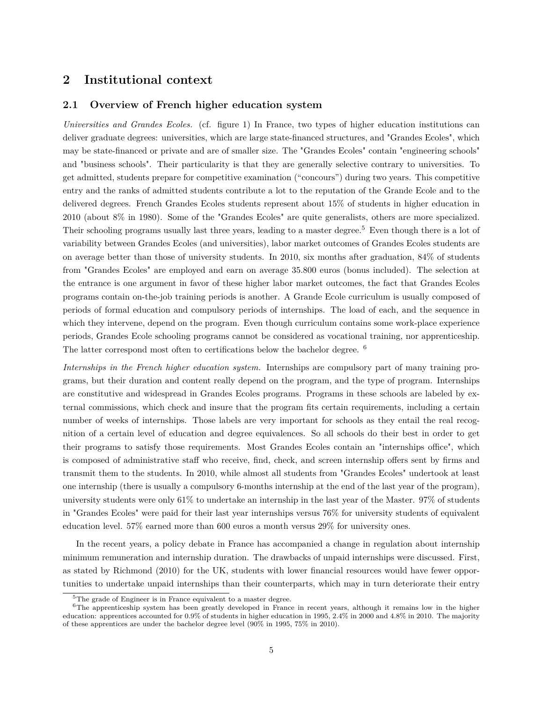### **2 Institutional context**

#### **2.1 Overview of French higher education system**

*Universities and Grandes Ecoles.* (cf. figure 1) In France, two types of higher education institutions can deliver graduate degrees: universities, which are large state-financed structures, and "Grandes Ecoles", which may be state-financed or private and are of smaller size. The "Grandes Ecoles" contain "engineering schools" and "business schools". Their particularity is that they are generally selective contrary to universities. To get admitted, students prepare for competitive examination ("concours") during two years. This competitive entry and the ranks of admitted students contribute a lot to the reputation of the Grande Ecole and to the delivered degrees. French Grandes Ecoles students represent about 15% of students in higher education in 2010 (about 8% in 1980). Some of the "Grandes Ecoles" are quite generalists, others are more specialized. Their schooling programs usually last three years, leading to a master degree.<sup>5</sup> Even though there is a lot of variability between Grandes Ecoles (and universities), labor market outcomes of Grandes Ecoles students are on average better than those of university students. In 2010, six months after graduation, 84% of students from "Grandes Ecoles" are employed and earn on average 35.800 euros (bonus included). The selection at the entrance is one argument in favor of these higher labor market outcomes, the fact that Grandes Ecoles programs contain on-the-job training periods is another. A Grande Ecole curriculum is usually composed of periods of formal education and compulsory periods of internships. The load of each, and the sequence in which they intervene, depend on the program. Even though curriculum contains some work-place experience periods, Grandes Ecole schooling programs cannot be considered as vocational training, nor apprenticeship. The latter correspond most often to certifications below the bachelor degree. <sup>6</sup>

*Internships in the French higher education system.* Internships are compulsory part of many training programs, but their duration and content really depend on the program, and the type of program. Internships are constitutive and widespread in Grandes Ecoles programs. Programs in these schools are labeled by external commissions, which check and insure that the program fits certain requirements, including a certain number of weeks of internships. Those labels are very important for schools as they entail the real recognition of a certain level of education and degree equivalences. So all schools do their best in order to get their programs to satisfy those requirements. Most Grandes Ecoles contain an "internships office", which is composed of administrative staff who receive, find, check, and screen internship offers sent by firms and transmit them to the students. In 2010, while almost all students from "Grandes Ecoles" undertook at least one internship (there is usually a compulsory 6-months internship at the end of the last year of the program), university students were only 61% to undertake an internship in the last year of the Master. 97% of students in "Grandes Ecoles" were paid for their last year internships versus 76% for university students of equivalent education level. 57% earned more than 600 euros a month versus 29% for university ones.

In the recent years, a policy debate in France has accompanied a change in regulation about internship minimum remuneration and internship duration. The drawbacks of unpaid internships were discussed. First, as stated by Richmond (2010) for the UK, students with lower financial resources would have fewer opportunities to undertake unpaid internships than their counterparts, which may in turn deteriorate their entry

<sup>&</sup>lt;sup>5</sup>The grade of Engineer is in France equivalent to a master degree.

 $6$ The apprenticeship system has been greatly developed in France in recent years, although it remains low in the higher education: apprentices accounted for 0.9% of students in higher education in 1995, 2.4% in 2000 and 4.8% in 2010. The majority of these apprentices are under the bachelor degree level (90% in 1995, 75% in 2010).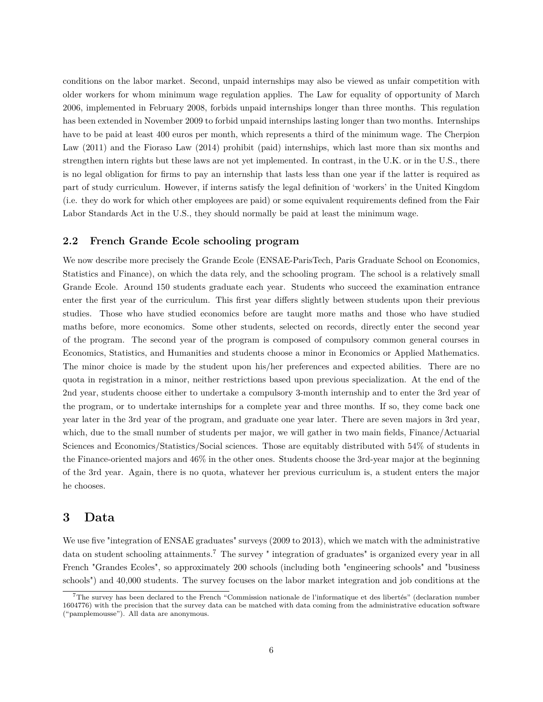conditions on the labor market. Second, unpaid internships may also be viewed as unfair competition with older workers for whom minimum wage regulation applies. The Law for equality of opportunity of March 2006, implemented in February 2008, forbids unpaid internships longer than three months. This regulation has been extended in November 2009 to forbid unpaid internships lasting longer than two months. Internships have to be paid at least 400 euros per month, which represents a third of the minimum wage. The Cherpion Law (2011) and the Fioraso Law (2014) prohibit (paid) internships, which last more than six months and strengthen intern rights but these laws are not yet implemented. In contrast, in the U.K. or in the U.S., there is no legal obligation for firms to pay an internship that lasts less than one year if the latter is required as part of study curriculum. However, if interns satisfy the legal definition of 'workers' in the United Kingdom (i.e. they do work for which other employees are paid) or some equivalent requirements defined from the Fair Labor Standards Act in the U.S., they should normally be paid at least the minimum wage.

#### **2.2 French Grande Ecole schooling program**

We now describe more precisely the Grande Ecole (ENSAE-ParisTech, Paris Graduate School on Economics, Statistics and Finance), on which the data rely, and the schooling program. The school is a relatively small Grande Ecole. Around 150 students graduate each year. Students who succeed the examination entrance enter the first year of the curriculum. This first year differs slightly between students upon their previous studies. Those who have studied economics before are taught more maths and those who have studied maths before, more economics. Some other students, selected on records, directly enter the second year of the program. The second year of the program is composed of compulsory common general courses in Economics, Statistics, and Humanities and students choose a minor in Economics or Applied Mathematics. The minor choice is made by the student upon his/her preferences and expected abilities. There are no quota in registration in a minor, neither restrictions based upon previous specialization. At the end of the 2nd year, students choose either to undertake a compulsory 3-month internship and to enter the 3rd year of the program, or to undertake internships for a complete year and three months. If so, they come back one year later in the 3rd year of the program, and graduate one year later. There are seven majors in 3rd year, which, due to the small number of students per major, we will gather in two main fields, Finance/Actuarial Sciences and Economics/Statistics/Social sciences. Those are equitably distributed with 54% of students in the Finance-oriented majors and 46% in the other ones. Students choose the 3rd-year major at the beginning of the 3rd year. Again, there is no quota, whatever her previous curriculum is, a student enters the major he chooses.

### **3 Data**

We use five "integration of ENSAE graduates" surveys (2009 to 2013), which we match with the administrative data on student schooling attainments.<sup>7</sup> The survey " integration of graduates" is organized every year in all French "Grandes Ecoles", so approximately 200 schools (including both "engineering schools" and "business schools") and 40,000 students. The survey focuses on the labor market integration and job conditions at the

<sup>7</sup>The survey has been declared to the French "Commission nationale de l'informatique et des libertés" (declaration number 1604776) with the precision that the survey data can be matched with data coming from the administrative education software ("pamplemousse"). All data are anonymous.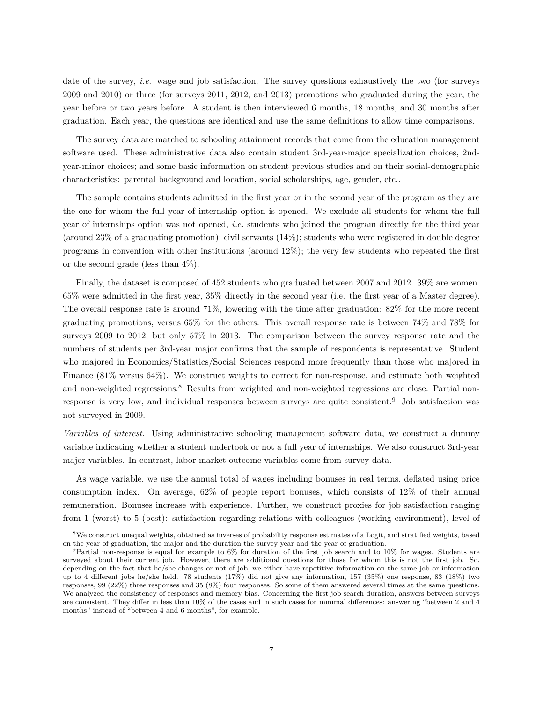date of the survey, *i.e.* wage and job satisfaction. The survey questions exhaustively the two (for surveys 2009 and 2010) or three (for surveys 2011, 2012, and 2013) promotions who graduated during the year, the year before or two years before. A student is then interviewed 6 months, 18 months, and 30 months after graduation. Each year, the questions are identical and use the same definitions to allow time comparisons.

The survey data are matched to schooling attainment records that come from the education management software used. These administrative data also contain student 3rd-year-major specialization choices, 2ndyear-minor choices; and some basic information on student previous studies and on their social-demographic characteristics: parental background and location, social scholarships, age, gender, etc..

The sample contains students admitted in the first year or in the second year of the program as they are the one for whom the full year of internship option is opened. We exclude all students for whom the full year of internships option was not opened, *i.e.* students who joined the program directly for the third year (around 23% of a graduating promotion); civil servants (14%); students who were registered in double degree programs in convention with other institutions (around 12%); the very few students who repeated the first or the second grade (less than 4%).

Finally, the dataset is composed of 452 students who graduated between 2007 and 2012. 39% are women. 65% were admitted in the first year, 35% directly in the second year (i.e. the first year of a Master degree). The overall response rate is around 71%, lowering with the time after graduation: 82% for the more recent graduating promotions, versus 65% for the others. This overall response rate is between 74% and 78% for surveys 2009 to 2012, but only 57% in 2013. The comparison between the survey response rate and the numbers of students per 3rd-year major confirms that the sample of respondents is representative. Student who majored in Economics/Statistics/Social Sciences respond more frequently than those who majored in Finance (81% versus 64%). We construct weights to correct for non-response, and estimate both weighted and non-weighted regressions.<sup>8</sup> Results from weighted and non-weighted regressions are close. Partial nonresponse is very low, and individual responses between surveys are quite consistent.<sup>9</sup> Job satisfaction was not surveyed in 2009.

*Variables of interest*. Using administrative schooling management software data, we construct a dummy variable indicating whether a student undertook or not a full year of internships. We also construct 3rd-year major variables. In contrast, labor market outcome variables come from survey data.

As wage variable, we use the annual total of wages including bonuses in real terms, deflated using price consumption index. On average, 62% of people report bonuses, which consists of 12% of their annual remuneration. Bonuses increase with experience. Further, we construct proxies for job satisfaction ranging from 1 (worst) to 5 (best): satisfaction regarding relations with colleagues (working environment), level of

<sup>8</sup>We construct unequal weights, obtained as inverses of probability response estimates of a Logit, and stratified weights, based on the year of graduation, the major and the duration the survey year and the year of graduation.

 $9$ Partial non-response is equal for example to 6% for duration of the first job search and to 10% for wages. Students are surveyed about their current job. However, there are additional questions for those for whom this is not the first job. So, depending on the fact that he/she changes or not of job, we either have repetitive information on the same job or information up to 4 different jobs he/she held. 78 students (17%) did not give any information, 157 (35%) one response, 83 (18%) two responses, 99 (22%) three responses and 35 (8%) four responses. So some of them answered several times at the same questions. We analyzed the consistency of responses and memory bias. Concerning the first job search duration, answers between surveys are consistent. They differ in less than 10% of the cases and in such cases for minimal differences: answering "between 2 and 4 months" instead of "between 4 and 6 months", for example.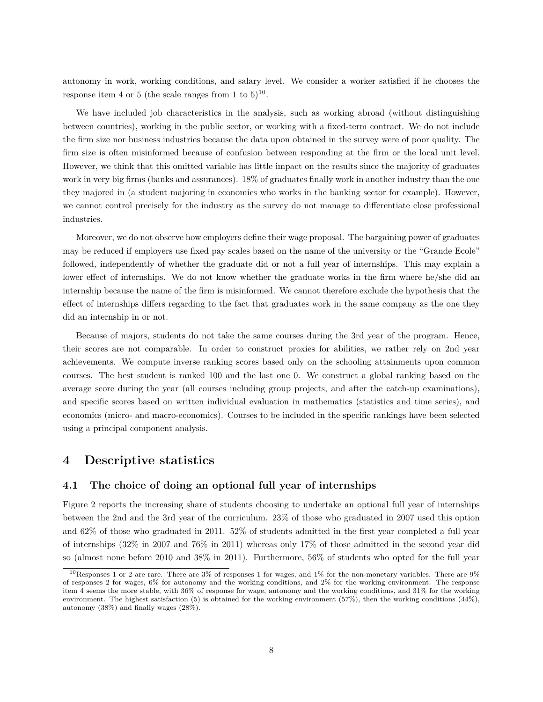autonomy in work, working conditions, and salary level. We consider a worker satisfied if he chooses the response item 4 or 5 (the scale ranges from 1 to  $5)^{10}$ .

We have included job characteristics in the analysis, such as working abroad (without distinguishing between countries), working in the public sector, or working with a fixed-term contract. We do not include the firm size nor business industries because the data upon obtained in the survey were of poor quality. The firm size is often misinformed because of confusion between responding at the firm or the local unit level. However, we think that this omitted variable has little impact on the results since the majority of graduates work in very big firms (banks and assurances). 18% of graduates finally work in another industry than the one they majored in (a student majoring in economics who works in the banking sector for example). However, we cannot control precisely for the industry as the survey do not manage to differentiate close professional industries.

Moreover, we do not observe how employers define their wage proposal. The bargaining power of graduates may be reduced if employers use fixed pay scales based on the name of the university or the "Grande Ecole" followed, independently of whether the graduate did or not a full year of internships. This may explain a lower effect of internships. We do not know whether the graduate works in the firm where he/she did an internship because the name of the firm is misinformed. We cannot therefore exclude the hypothesis that the effect of internships differs regarding to the fact that graduates work in the same company as the one they did an internship in or not.

Because of majors, students do not take the same courses during the 3rd year of the program. Hence, their scores are not comparable. In order to construct proxies for abilities, we rather rely on 2nd year achievements. We compute inverse ranking scores based only on the schooling attainments upon common courses. The best student is ranked 100 and the last one 0. We construct a global ranking based on the average score during the year (all courses including group projects, and after the catch-up examinations), and specific scores based on written individual evaluation in mathematics (statistics and time series), and economics (micro- and macro-economics). Courses to be included in the specific rankings have been selected using a principal component analysis.

### **4 Descriptive statistics**

#### **4.1 The choice of doing an optional full year of internships**

Figure 2 reports the increasing share of students choosing to undertake an optional full year of internships between the 2nd and the 3rd year of the curriculum. 23% of those who graduated in 2007 used this option and 62% of those who graduated in 2011. 52% of students admitted in the first year completed a full year of internships (32% in 2007 and 76% in 2011) whereas only 17% of those admitted in the second year did so (almost none before 2010 and 38% in 2011). Furthermore, 56% of students who opted for the full year

<sup>&</sup>lt;sup>10</sup>Responses 1 or 2 are rare. There are 3% of responses 1 for wages, and 1% for the non-monetary variables. There are 9% of responses 2 for wages, 6% for autonomy and the working conditions, and 2% for the working environment. The response item 4 seems the more stable, with 36% of response for wage, autonomy and the working conditions, and 31% for the working environment. The highest satisfaction (5) is obtained for the working environment (57%), then the working conditions (44%), autonomy (38%) and finally wages (28%).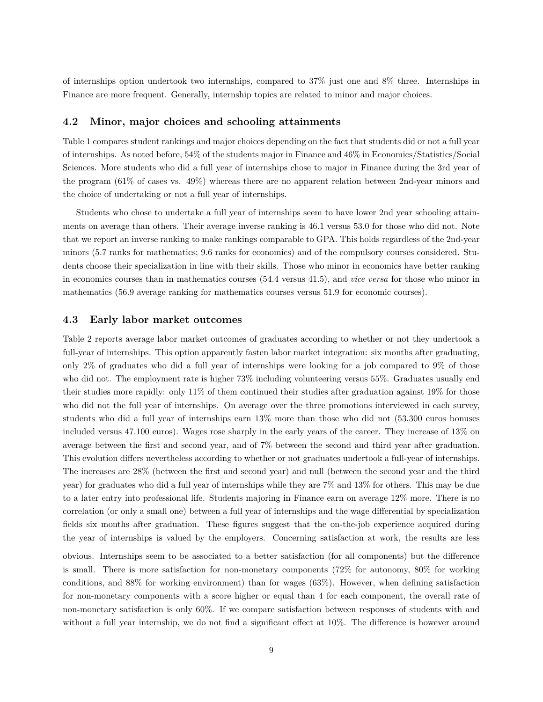of internships option undertook two internships, compared to 37% just one and 8% three. Internships in Finance are more frequent. Generally, internship topics are related to minor and major choices.

#### **4.2 Minor, major choices and schooling attainments**

Table 1 compares student rankings and major choices depending on the fact that students did or not a full year of internships. As noted before, 54% of the students major in Finance and 46% in Economics/Statistics/Social Sciences. More students who did a full year of internships chose to major in Finance during the 3rd year of the program (61% of cases vs. 49%) whereas there are no apparent relation between 2nd-year minors and the choice of undertaking or not a full year of internships.

Students who chose to undertake a full year of internships seem to have lower 2nd year schooling attainments on average than others. Their average inverse ranking is 46.1 versus 53.0 for those who did not. Note that we report an inverse ranking to make rankings comparable to GPA. This holds regardless of the 2nd-year minors (5.7 ranks for mathematics; 9.6 ranks for economics) and of the compulsory courses considered. Students choose their specialization in line with their skills. Those who minor in economics have better ranking in economics courses than in mathematics courses (54.4 versus 41.5), and *vice versa* for those who minor in mathematics (56.9 average ranking for mathematics courses versus 51.9 for economic courses).

#### **4.3 Early labor market outcomes**

Table 2 reports average labor market outcomes of graduates according to whether or not they undertook a full-year of internships. This option apparently fasten labor market integration: six months after graduating, only 2% of graduates who did a full year of internships were looking for a job compared to 9% of those who did not. The employment rate is higher 73% including volunteering versus 55%. Graduates usually end their studies more rapidly: only 11% of them continued their studies after graduation against 19% for those who did not the full year of internships. On average over the three promotions interviewed in each survey, students who did a full year of internships earn 13% more than those who did not (53.300 euros bonuses included versus 47.100 euros). Wages rose sharply in the early years of the career. They increase of 13% on average between the first and second year, and of 7% between the second and third year after graduation. This evolution differs nevertheless according to whether or not graduates undertook a full-year of internships. The increases are 28% (between the first and second year) and null (between the second year and the third year) for graduates who did a full year of internships while they are 7% and 13% for others. This may be due to a later entry into professional life. Students majoring in Finance earn on average 12% more. There is no correlation (or only a small one) between a full year of internships and the wage differential by specialization fields six months after graduation. These figures suggest that the on-the-job experience acquired during the year of internships is valued by the employers. Concerning satisfaction at work, the results are less

obvious. Internships seem to be associated to a better satisfaction (for all components) but the difference is small. There is more satisfaction for non-monetary components (72% for autonomy, 80% for working conditions, and 88% for working environment) than for wages (63%). However, when defining satisfaction for non-monetary components with a score higher or equal than 4 for each component, the overall rate of non-monetary satisfaction is only 60%. If we compare satisfaction between responses of students with and without a full year internship, we do not find a significant effect at 10%. The difference is however around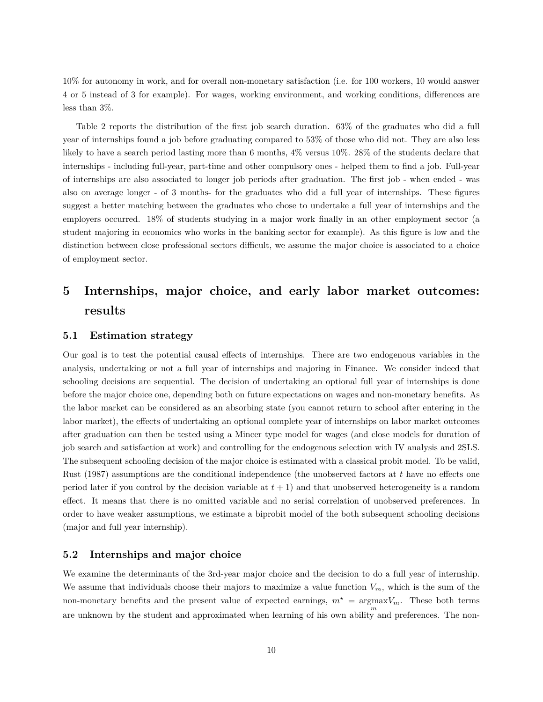10% for autonomy in work, and for overall non-monetary satisfaction (i.e. for 100 workers, 10 would answer 4 or 5 instead of 3 for example). For wages, working environment, and working conditions, differences are less than 3%.

Table 2 reports the distribution of the first job search duration. 63% of the graduates who did a full year of internships found a job before graduating compared to 53% of those who did not. They are also less likely to have a search period lasting more than 6 months, 4% versus 10%. 28% of the students declare that internships - including full-year, part-time and other compulsory ones - helped them to find a job. Full-year of internships are also associated to longer job periods after graduation. The first job - when ended - was also on average longer - of 3 months- for the graduates who did a full year of internships. These figures suggest a better matching between the graduates who chose to undertake a full year of internships and the employers occurred. 18% of students studying in a major work finally in an other employment sector (a student majoring in economics who works in the banking sector for example). As this figure is low and the distinction between close professional sectors difficult, we assume the major choice is associated to a choice of employment sector.

# **5 Internships, major choice, and early labor market outcomes: results**

#### **5.1 Estimation strategy**

Our goal is to test the potential causal effects of internships. There are two endogenous variables in the analysis, undertaking or not a full year of internships and majoring in Finance. We consider indeed that schooling decisions are sequential. The decision of undertaking an optional full year of internships is done before the major choice one, depending both on future expectations on wages and non-monetary benefits. As the labor market can be considered as an absorbing state (you cannot return to school after entering in the labor market), the effects of undertaking an optional complete year of internships on labor market outcomes after graduation can then be tested using a Mincer type model for wages (and close models for duration of job search and satisfaction at work) and controlling for the endogenous selection with IV analysis and 2SLS. The subsequent schooling decision of the major choice is estimated with a classical probit model. To be valid, Rust (1987) assumptions are the conditional independence (the unobserved factors at *t* have no effects one period later if you control by the decision variable at  $t + 1$ ) and that unobserved heterogeneity is a random effect. It means that there is no omitted variable and no serial correlation of unobserved preferences. In order to have weaker assumptions, we estimate a biprobit model of the both subsequent schooling decisions (major and full year internship).

#### **5.2 Internships and major choice**

We examine the determinants of the 3rd-year major choice and the decision to do a full year of internship. We assume that individuals choose their majors to maximize a value function  $V_m$ , which is the sum of the non-monetary benefits and the present value of expected earnings,  $m^* = \text{argmax} V_m$ . These both terms are unknown by the student and approximated when learning of his own ability and preferences. The non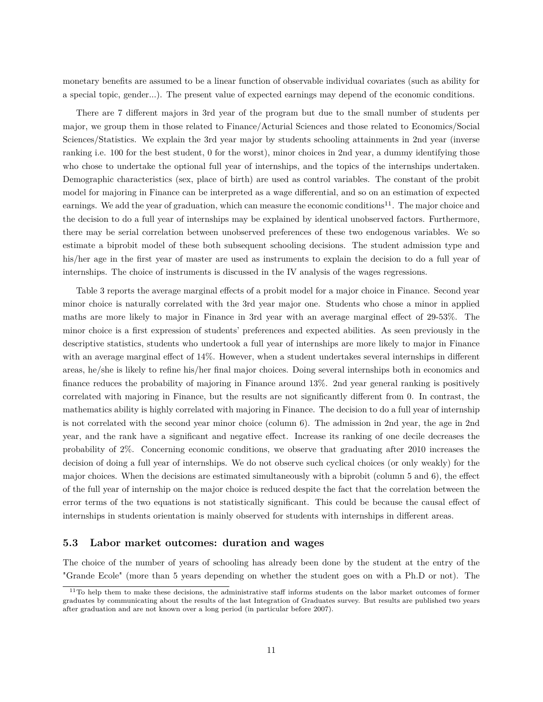monetary benefits are assumed to be a linear function of observable individual covariates (such as ability for a special topic, gender...). The present value of expected earnings may depend of the economic conditions.

There are 7 different majors in 3rd year of the program but due to the small number of students per major, we group them in those related to Finance/Acturial Sciences and those related to Economics/Social Sciences/Statistics. We explain the 3rd year major by students schooling attainments in 2nd year (inverse ranking i.e. 100 for the best student, 0 for the worst), minor choices in 2nd year, a dummy identifying those who chose to undertake the optional full year of internships, and the topics of the internships undertaken. Demographic characteristics (sex, place of birth) are used as control variables. The constant of the probit model for majoring in Finance can be interpreted as a wage differential, and so on an estimation of expected earnings. We add the year of graduation, which can measure the economic conditions<sup>11</sup>. The major choice and the decision to do a full year of internships may be explained by identical unobserved factors. Furthermore, there may be serial correlation between unobserved preferences of these two endogenous variables. We so estimate a biprobit model of these both subsequent schooling decisions. The student admission type and his/her age in the first year of master are used as instruments to explain the decision to do a full year of internships. The choice of instruments is discussed in the IV analysis of the wages regressions.

Table 3 reports the average marginal effects of a probit model for a major choice in Finance. Second year minor choice is naturally correlated with the 3rd year major one. Students who chose a minor in applied maths are more likely to major in Finance in 3rd year with an average marginal effect of 29-53%. The minor choice is a first expression of students' preferences and expected abilities. As seen previously in the descriptive statistics, students who undertook a full year of internships are more likely to major in Finance with an average marginal effect of 14%. However, when a student undertakes several internships in different areas, he/she is likely to refine his/her final major choices. Doing several internships both in economics and finance reduces the probability of majoring in Finance around 13%. 2nd year general ranking is positively correlated with majoring in Finance, but the results are not significantly different from 0. In contrast, the mathematics ability is highly correlated with majoring in Finance. The decision to do a full year of internship is not correlated with the second year minor choice (column 6). The admission in 2nd year, the age in 2nd year, and the rank have a significant and negative effect. Increase its ranking of one decile decreases the probability of 2%. Concerning economic conditions, we observe that graduating after 2010 increases the decision of doing a full year of internships. We do not observe such cyclical choices (or only weakly) for the major choices. When the decisions are estimated simultaneously with a biprobit (column 5 and 6), the effect of the full year of internship on the major choice is reduced despite the fact that the correlation between the error terms of the two equations is not statistically significant. This could be because the causal effect of internships in students orientation is mainly observed for students with internships in different areas.

#### **5.3 Labor market outcomes: duration and wages**

The choice of the number of years of schooling has already been done by the student at the entry of the "Grande Ecole" (more than 5 years depending on whether the student goes on with a Ph.D or not). The

 $11$ To help them to make these decisions, the administrative staff informs students on the labor market outcomes of former graduates by communicating about the results of the last Integration of Graduates survey. But results are published two years after graduation and are not known over a long period (in particular before 2007).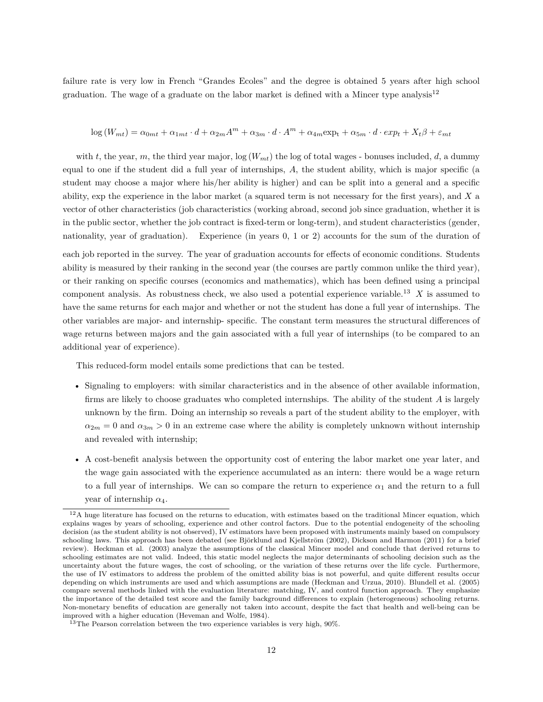failure rate is very low in French "Grandes Ecoles" and the degree is obtained 5 years after high school graduation. The wage of a graduate on the labor market is defined with a Mincer type analysis<sup>12</sup>

### $\log(W_{mt}) = \alpha_{0mt} + \alpha_{1mt} \cdot d + \alpha_{2m} A^m + \alpha_{3m} \cdot d \cdot A^m + \alpha_{4m} \exp_t + \alpha_{5m} \cdot d \cdot exp_t + X_t \beta + \varepsilon_{mt}$

with *t*, the year, *m*, the third year major,  $\log(W_{mt})$  the log of total wages - bonuses included, *d*, a dummy equal to one if the student did a full year of internships, *A*, the student ability, which is major specific (a student may choose a major where his/her ability is higher) and can be split into a general and a specific ability, exp the experience in the labor market (a squared term is not necessary for the first years), and *X* a vector of other characteristics (job characteristics (working abroad, second job since graduation, whether it is in the public sector, whether the job contract is fixed-term or long-term), and student characteristics (gender, nationality, year of graduation). Experience (in years 0, 1 or 2) accounts for the sum of the duration of

each job reported in the survey. The year of graduation accounts for effects of economic conditions. Students ability is measured by their ranking in the second year (the courses are partly common unlike the third year), or their ranking on specific courses (economics and mathematics), which has been defined using a principal component analysis. As robustness check, we also used a potential experience variable.<sup>13</sup> *X* is assumed to have the same returns for each major and whether or not the student has done a full year of internships. The other variables are major- and internship- specific. The constant term measures the structural differences of wage returns between majors and the gain associated with a full year of internships (to be compared to an additional year of experience).

This reduced-form model entails some predictions that can be tested.

- Signaling to employers: with similar characteristics and in the absence of other available information, firms are likely to choose graduates who completed internships. The ability of the student *A* is largely unknown by the firm. Doing an internship so reveals a part of the student ability to the employer, with  $a_{2m} = 0$  and  $a_{3m} > 0$  in an extreme case where the ability is completely unknown without internship and revealed with internship;
- A cost-benefit analysis between the opportunity cost of entering the labor market one year later, and the wage gain associated with the experience accumulated as an intern: there would be a wage return to a full year of internships. We can so compare the return to experience  $\alpha_1$  and the return to a full year of internship  $\alpha_4$ .

 $12A$  huge literature has focused on the returns to education, with estimates based on the traditional Mincer equation, which explains wages by years of schooling, experience and other control factors. Due to the potential endogeneity of the schooling decision (as the student ability is not observed), IV estimators have been proposed with instruments mainly based on compulsory schooling laws. This approach has been debated (see Björklund and Kjellström (2002), Dickson and Harmon (2011) for a brief review). Heckman et al. (2003) analyze the assumptions of the classical Mincer model and conclude that derived returns to schooling estimates are not valid. Indeed, this static model neglects the major determinants of schooling decision such as the uncertainty about the future wages, the cost of schooling, or the variation of these returns over the life cycle. Furthermore, the use of IV estimators to address the problem of the omitted ability bias is not powerful, and quite different results occur depending on which instruments are used and which assumptions are made (Heckman and Urzua, 2010). Blundell et al. (2005) compare several methods linked with the evaluation literature: matching, IV, and control function approach. They emphasize the importance of the detailed test score and the family background differences to explain (heterogeneous) schooling returns. Non-monetary benefits of education are generally not taken into account, despite the fact that health and well-being can be improved with a higher education (Heveman and Wolfe, 1984).

 $13$ The Pearson correlation between the two experience variables is very high, 90%.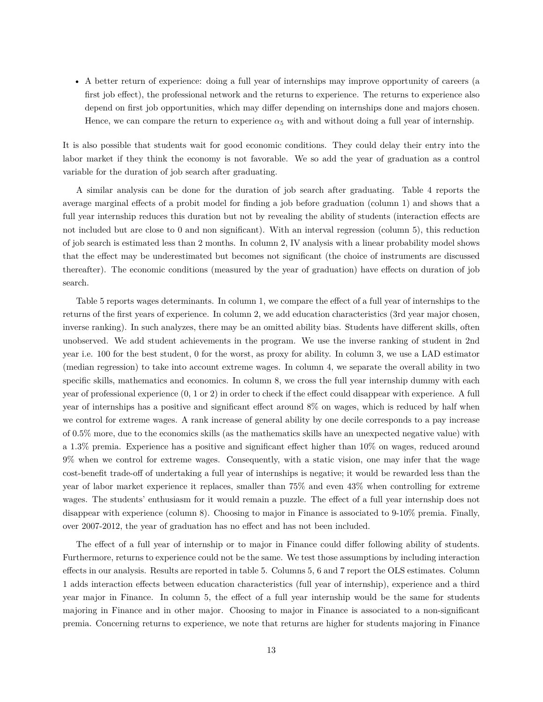• A better return of experience: doing a full year of internships may improve opportunity of careers (a first job effect), the professional network and the returns to experience. The returns to experience also depend on first job opportunities, which may differ depending on internships done and majors chosen. Hence, we can compare the return to experience  $\alpha_5$  with and without doing a full year of internship.

It is also possible that students wait for good economic conditions. They could delay their entry into the labor market if they think the economy is not favorable. We so add the year of graduation as a control variable for the duration of job search after graduating.

A similar analysis can be done for the duration of job search after graduating. Table 4 reports the average marginal effects of a probit model for finding a job before graduation (column 1) and shows that a full year internship reduces this duration but not by revealing the ability of students (interaction effects are not included but are close to 0 and non significant). With an interval regression (column 5), this reduction of job search is estimated less than 2 months. In column 2, IV analysis with a linear probability model shows that the effect may be underestimated but becomes not significant (the choice of instruments are discussed thereafter). The economic conditions (measured by the year of graduation) have effects on duration of job search.

Table 5 reports wages determinants. In column 1, we compare the effect of a full year of internships to the returns of the first years of experience. In column 2, we add education characteristics (3rd year major chosen, inverse ranking). In such analyzes, there may be an omitted ability bias. Students have different skills, often unobserved. We add student achievements in the program. We use the inverse ranking of student in 2nd year i.e. 100 for the best student, 0 for the worst, as proxy for ability. In column 3, we use a LAD estimator (median regression) to take into account extreme wages. In column 4, we separate the overall ability in two specific skills, mathematics and economics. In column 8, we cross the full year internship dummy with each year of professional experience (0, 1 or 2) in order to check if the effect could disappear with experience. A full year of internships has a positive and significant effect around 8% on wages, which is reduced by half when we control for extreme wages. A rank increase of general ability by one decile corresponds to a pay increase of 0.5% more, due to the economics skills (as the mathematics skills have an unexpected negative value) with a 1.3% premia. Experience has a positive and significant effect higher than 10% on wages, reduced around 9% when we control for extreme wages. Consequently, with a static vision, one may infer that the wage cost-benefit trade-off of undertaking a full year of internships is negative; it would be rewarded less than the year of labor market experience it replaces, smaller than 75% and even 43% when controlling for extreme wages. The students' enthusiasm for it would remain a puzzle. The effect of a full year internship does not disappear with experience (column 8). Choosing to major in Finance is associated to 9-10% premia. Finally, over 2007-2012, the year of graduation has no effect and has not been included.

The effect of a full year of internship or to major in Finance could differ following ability of students. Furthermore, returns to experience could not be the same. We test those assumptions by including interaction effects in our analysis. Results are reported in table 5. Columns 5, 6 and 7 report the OLS estimates. Column 1 adds interaction effects between education characteristics (full year of internship), experience and a third year major in Finance. In column 5, the effect of a full year internship would be the same for students majoring in Finance and in other major. Choosing to major in Finance is associated to a non-significant premia. Concerning returns to experience, we note that returns are higher for students majoring in Finance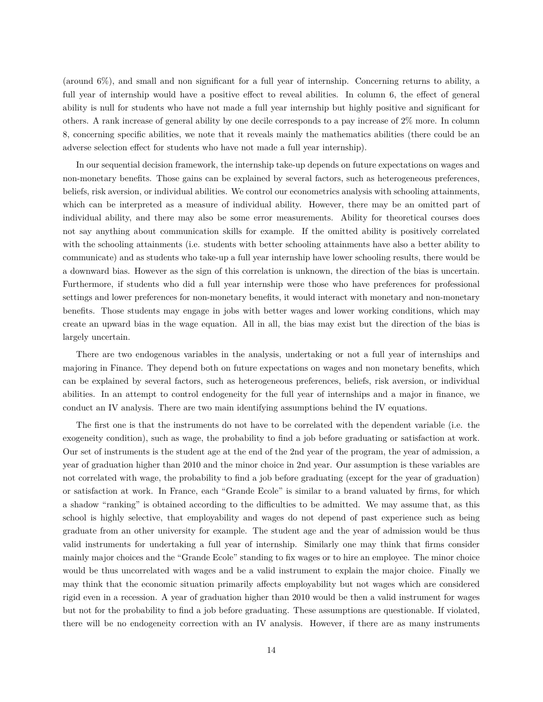(around 6%), and small and non significant for a full year of internship. Concerning returns to ability, a full year of internship would have a positive effect to reveal abilities. In column 6, the effect of general ability is null for students who have not made a full year internship but highly positive and significant for others. A rank increase of general ability by one decile corresponds to a pay increase of 2% more. In column 8, concerning specific abilities, we note that it reveals mainly the mathematics abilities (there could be an adverse selection effect for students who have not made a full year internship).

In our sequential decision framework, the internship take-up depends on future expectations on wages and non-monetary benefits. Those gains can be explained by several factors, such as heterogeneous preferences, beliefs, risk aversion, or individual abilities. We control our econometrics analysis with schooling attainments, which can be interpreted as a measure of individual ability. However, there may be an omitted part of individual ability, and there may also be some error measurements. Ability for theoretical courses does not say anything about communication skills for example. If the omitted ability is positively correlated with the schooling attainments (i.e. students with better schooling attainments have also a better ability to communicate) and as students who take-up a full year internship have lower schooling results, there would be a downward bias. However as the sign of this correlation is unknown, the direction of the bias is uncertain. Furthermore, if students who did a full year internship were those who have preferences for professional settings and lower preferences for non-monetary benefits, it would interact with monetary and non-monetary benefits. Those students may engage in jobs with better wages and lower working conditions, which may create an upward bias in the wage equation. All in all, the bias may exist but the direction of the bias is largely uncertain.

There are two endogenous variables in the analysis, undertaking or not a full year of internships and majoring in Finance. They depend both on future expectations on wages and non monetary benefits, which can be explained by several factors, such as heterogeneous preferences, beliefs, risk aversion, or individual abilities. In an attempt to control endogeneity for the full year of internships and a major in finance, we conduct an IV analysis. There are two main identifying assumptions behind the IV equations.

The first one is that the instruments do not have to be correlated with the dependent variable (i.e. the exogeneity condition), such as wage, the probability to find a job before graduating or satisfaction at work. Our set of instruments is the student age at the end of the 2nd year of the program, the year of admission, a year of graduation higher than 2010 and the minor choice in 2nd year. Our assumption is these variables are not correlated with wage, the probability to find a job before graduating (except for the year of graduation) or satisfaction at work. In France, each "Grande Ecole" is similar to a brand valuated by firms, for which a shadow "ranking" is obtained according to the difficulties to be admitted. We may assume that, as this school is highly selective, that employability and wages do not depend of past experience such as being graduate from an other university for example. The student age and the year of admission would be thus valid instruments for undertaking a full year of internship. Similarly one may think that firms consider mainly major choices and the "Grande Ecole" standing to fix wages or to hire an employee. The minor choice would be thus uncorrelated with wages and be a valid instrument to explain the major choice. Finally we may think that the economic situation primarily affects employability but not wages which are considered rigid even in a recession. A year of graduation higher than 2010 would be then a valid instrument for wages but not for the probability to find a job before graduating. These assumptions are questionable. If violated, there will be no endogeneity correction with an IV analysis. However, if there are as many instruments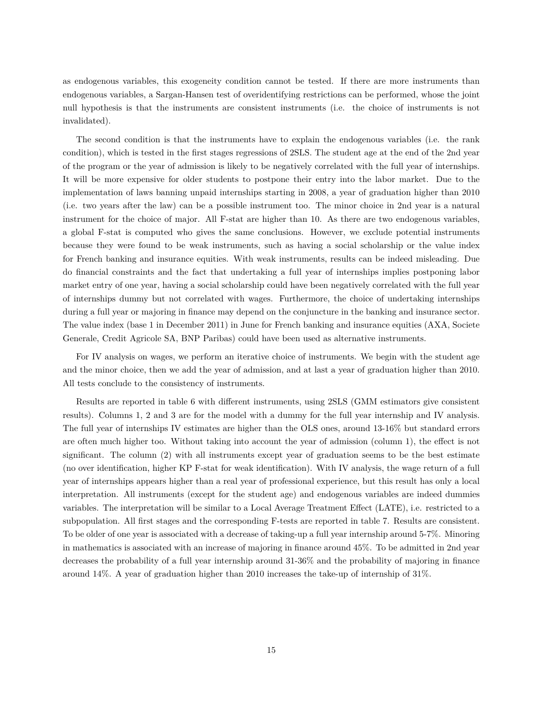as endogenous variables, this exogeneity condition cannot be tested. If there are more instruments than endogenous variables, a Sargan-Hansen test of overidentifying restrictions can be performed, whose the joint null hypothesis is that the instruments are consistent instruments (i.e. the choice of instruments is not invalidated).

The second condition is that the instruments have to explain the endogenous variables (i.e. the rank condition), which is tested in the first stages regressions of 2SLS. The student age at the end of the 2nd year of the program or the year of admission is likely to be negatively correlated with the full year of internships. It will be more expensive for older students to postpone their entry into the labor market. Due to the implementation of laws banning unpaid internships starting in 2008, a year of graduation higher than 2010 (i.e. two years after the law) can be a possible instrument too. The minor choice in 2nd year is a natural instrument for the choice of major. All F-stat are higher than 10. As there are two endogenous variables, a global F-stat is computed who gives the same conclusions. However, we exclude potential instruments because they were found to be weak instruments, such as having a social scholarship or the value index for French banking and insurance equities. With weak instruments, results can be indeed misleading. Due do financial constraints and the fact that undertaking a full year of internships implies postponing labor market entry of one year, having a social scholarship could have been negatively correlated with the full year of internships dummy but not correlated with wages. Furthermore, the choice of undertaking internships during a full year or majoring in finance may depend on the conjuncture in the banking and insurance sector. The value index (base 1 in December 2011) in June for French banking and insurance equities (AXA, Societe Generale, Credit Agricole SA, BNP Paribas) could have been used as alternative instruments.

For IV analysis on wages, we perform an iterative choice of instruments. We begin with the student age and the minor choice, then we add the year of admission, and at last a year of graduation higher than 2010. All tests conclude to the consistency of instruments.

Results are reported in table 6 with different instruments, using 2SLS (GMM estimators give consistent results). Columns 1, 2 and 3 are for the model with a dummy for the full year internship and IV analysis. The full year of internships IV estimates are higher than the OLS ones, around 13-16% but standard errors are often much higher too. Without taking into account the year of admission (column 1), the effect is not significant. The column (2) with all instruments except year of graduation seems to be the best estimate (no over identification, higher KP F-stat for weak identification). With IV analysis, the wage return of a full year of internships appears higher than a real year of professional experience, but this result has only a local interpretation. All instruments (except for the student age) and endogenous variables are indeed dummies variables. The interpretation will be similar to a Local Average Treatment Effect (LATE), i.e. restricted to a subpopulation. All first stages and the corresponding F-tests are reported in table 7. Results are consistent. To be older of one year is associated with a decrease of taking-up a full year internship around 5-7%. Minoring in mathematics is associated with an increase of majoring in finance around 45%. To be admitted in 2nd year decreases the probability of a full year internship around 31-36% and the probability of majoring in finance around 14%. A year of graduation higher than 2010 increases the take-up of internship of 31%.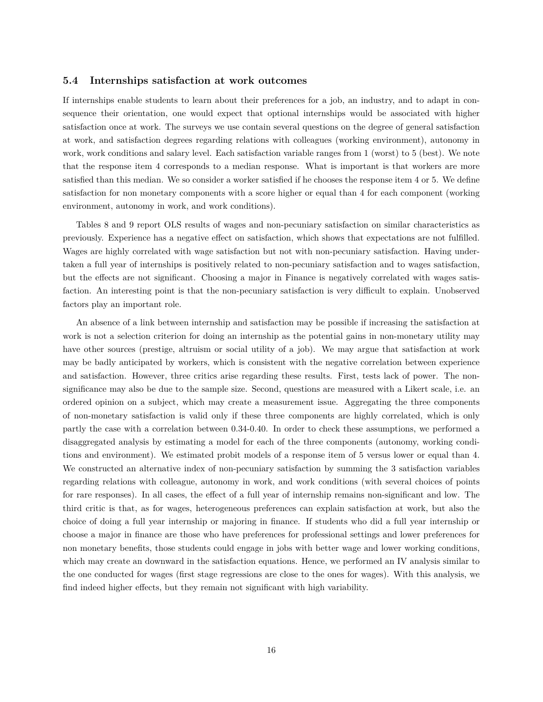#### **5.4 Internships satisfaction at work outcomes**

If internships enable students to learn about their preferences for a job, an industry, and to adapt in consequence their orientation, one would expect that optional internships would be associated with higher satisfaction once at work. The surveys we use contain several questions on the degree of general satisfaction at work, and satisfaction degrees regarding relations with colleagues (working environment), autonomy in work, work conditions and salary level. Each satisfaction variable ranges from 1 (worst) to 5 (best). We note that the response item 4 corresponds to a median response. What is important is that workers are more satisfied than this median. We so consider a worker satisfied if he chooses the response item 4 or 5. We define satisfaction for non monetary components with a score higher or equal than 4 for each component (working environment, autonomy in work, and work conditions).

Tables 8 and 9 report OLS results of wages and non-pecuniary satisfaction on similar characteristics as previously. Experience has a negative effect on satisfaction, which shows that expectations are not fulfilled. Wages are highly correlated with wage satisfaction but not with non-pecuniary satisfaction. Having undertaken a full year of internships is positively related to non-pecuniary satisfaction and to wages satisfaction, but the effects are not significant. Choosing a major in Finance is negatively correlated with wages satisfaction. An interesting point is that the non-pecuniary satisfaction is very difficult to explain. Unobserved factors play an important role.

An absence of a link between internship and satisfaction may be possible if increasing the satisfaction at work is not a selection criterion for doing an internship as the potential gains in non-monetary utility may have other sources (prestige, altruism or social utility of a job). We may argue that satisfaction at work may be badly anticipated by workers, which is consistent with the negative correlation between experience and satisfaction. However, three critics arise regarding these results. First, tests lack of power. The nonsignificance may also be due to the sample size. Second, questions are measured with a Likert scale, i.e. an ordered opinion on a subject, which may create a measurement issue. Aggregating the three components of non-monetary satisfaction is valid only if these three components are highly correlated, which is only partly the case with a correlation between 0.34-0.40. In order to check these assumptions, we performed a disaggregated analysis by estimating a model for each of the three components (autonomy, working conditions and environment). We estimated probit models of a response item of 5 versus lower or equal than 4. We constructed an alternative index of non-pecuniary satisfaction by summing the 3 satisfaction variables regarding relations with colleague, autonomy in work, and work conditions (with several choices of points for rare responses). In all cases, the effect of a full year of internship remains non-significant and low. The third critic is that, as for wages, heterogeneous preferences can explain satisfaction at work, but also the choice of doing a full year internship or majoring in finance. If students who did a full year internship or choose a major in finance are those who have preferences for professional settings and lower preferences for non monetary benefits, those students could engage in jobs with better wage and lower working conditions, which may create an downward in the satisfaction equations. Hence, we performed an IV analysis similar to the one conducted for wages (first stage regressions are close to the ones for wages). With this analysis, we find indeed higher effects, but they remain not significant with high variability.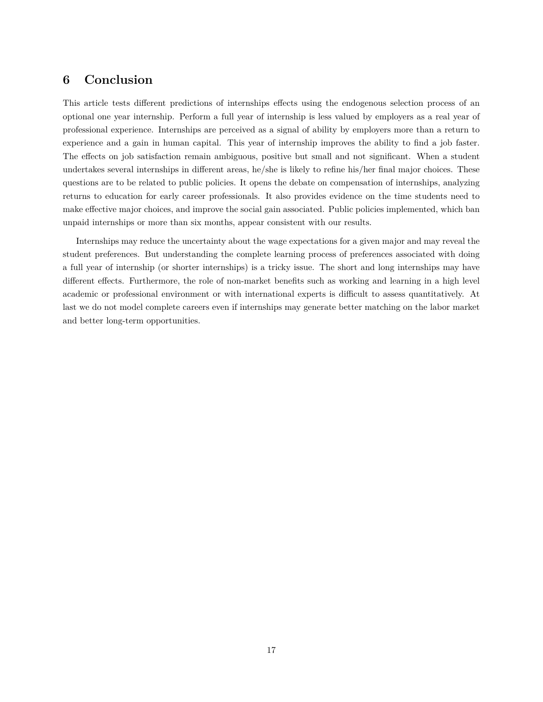### **6 Conclusion**

This article tests different predictions of internships effects using the endogenous selection process of an optional one year internship. Perform a full year of internship is less valued by employers as a real year of professional experience. Internships are perceived as a signal of ability by employers more than a return to experience and a gain in human capital. This year of internship improves the ability to find a job faster. The effects on job satisfaction remain ambiguous, positive but small and not significant. When a student undertakes several internships in different areas, he/she is likely to refine his/her final major choices. These questions are to be related to public policies. It opens the debate on compensation of internships, analyzing returns to education for early career professionals. It also provides evidence on the time students need to make effective major choices, and improve the social gain associated. Public policies implemented, which ban unpaid internships or more than six months, appear consistent with our results.

Internships may reduce the uncertainty about the wage expectations for a given major and may reveal the student preferences. But understanding the complete learning process of preferences associated with doing a full year of internship (or shorter internships) is a tricky issue. The short and long internships may have different effects. Furthermore, the role of non-market benefits such as working and learning in a high level academic or professional environment or with international experts is difficult to assess quantitatively. At last we do not model complete careers even if internships may generate better matching on the labor market and better long-term opportunities.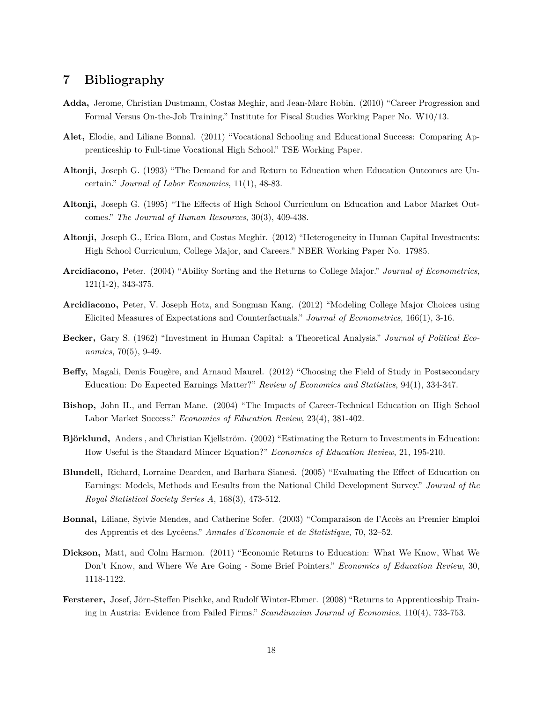### **7 Bibliography**

- **Adda,** Jerome, Christian Dustmann, Costas Meghir, and Jean-Marc Robin. (2010) "Career Progression and Formal Versus On-the-Job Training." Institute for Fiscal Studies Working Paper No. W10/13.
- **Alet,** Elodie, and Liliane Bonnal. (2011) "Vocational Schooling and Educational Success: Comparing Apprenticeship to Full-time Vocational High School." TSE Working Paper.
- **Altonji,** Joseph G. (1993) "The Demand for and Return to Education when Education Outcomes are Uncertain." *Journal of Labor Economics*, 11(1), 48-83.
- **Altonji,** Joseph G. (1995) "The Effects of High School Curriculum on Education and Labor Market Outcomes." *The Journal of Human Resources*, 30(3), 409-438.
- **Altonji,** Joseph G., Erica Blom, and Costas Meghir. (2012) "Heterogeneity in Human Capital Investments: High School Curriculum, College Major, and Careers." NBER Working Paper No. 17985.
- **Arcidiacono,** Peter. (2004) "Ability Sorting and the Returns to College Major." *Journal of Econometrics*, 121(1-2), 343-375.
- **Arcidiacono,** Peter, V. Joseph Hotz, and Songman Kang. (2012) "Modeling College Major Choices using Elicited Measures of Expectations and Counterfactuals." *Journal of Econometrics*, 166(1), 3-16.
- **Becker,** Gary S. (1962) "Investment in Human Capital: a Theoretical Analysis." *Journal of Political Economics*, 70(5), 9-49.
- **Beffy,** Magali, Denis Fougère, and Arnaud Maurel. (2012) "Choosing the Field of Study in Postsecondary Education: Do Expected Earnings Matter?" *Review of Economics and Statistics*, 94(1), 334-347.
- **Bishop,** John H., and Ferran Mane. (2004) "The Impacts of Career-Technical Education on High School Labor Market Success." *Economics of Education Review*, 23(4), 381-402.
- **Björklund,** Anders , and Christian Kjellström. (2002) "Estimating the Return to Investments in Education: How Useful is the Standard Mincer Equation?" *Economics of Education Review*, 21, 195-210.
- **Blundell,** Richard, Lorraine Dearden, and Barbara Sianesi. (2005) "Evaluating the Effect of Education on Earnings: Models, Methods and Eesults from the National Child Development Survey." *Journal of the Royal Statistical Society Series A*, 168(3), 473-512.
- **Bonnal,** Liliane, Sylvie Mendes, and Catherine Sofer. (2003) "Comparaison de l'Accès au Premier Emploi des Apprentis et des Lycéens." *Annales d'Economie et de Statistique*, 70, 32–52.
- **Dickson,** Matt, and Colm Harmon. (2011) "Economic Returns to Education: What We Know, What We Don't Know, and Where We Are Going - Some Brief Pointers." *Economics of Education Review*, 30, 1118-1122.
- **Fersterer,** Josef, Jörn-Steffen Pischke, and Rudolf Winter-Ebmer. (2008) "Returns to Apprenticeship Training in Austria: Evidence from Failed Firms." *Scandinavian Journal of Economics*, 110(4), 733-753.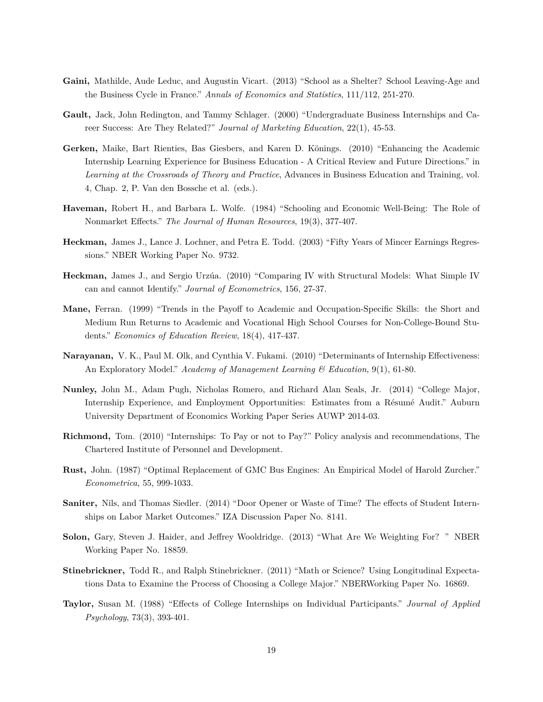- **Gaini,** Mathilde, Aude Leduc, and Augustin Vicart. (2013) "School as a Shelter? School Leaving-Age and the Business Cycle in France." *Annals of Economics and Statistics*, 111/112, 251-270.
- **Gault,** Jack, John Redington, and Tammy Schlager. (2000) "Undergraduate Business Internships and Career Success: Are They Related?" *Journal of Marketing Education*, 22(1), 45-53.
- **Gerken,** Maike, Bart Rienties, Bas Giesbers, and Karen D. Könings. (2010) "Enhancing the Academic Internship Learning Experience for Business Education - A Critical Review and Future Directions." in *Learning at the Crossroads of Theory and Practice*, Advances in Business Education and Training, vol. 4, Chap. 2, P. Van den Bossche et al. (eds.).
- **Haveman,** Robert H., and Barbara L. Wolfe. (1984) "Schooling and Economic Well-Being: The Role of Nonmarket Effects." *The Journal of Human Resources*, 19(3), 377-407.
- **Heckman,** James J., Lance J. Lochner, and Petra E. Todd. (2003) "Fifty Years of Mincer Earnings Regressions." NBER Working Paper No. 9732.
- **Heckman,** James J., and Sergio Urzúa. (2010) "Comparing IV with Structural Models: What Simple IV can and cannot Identify." *Journal of Econometrics*, 156, 27-37.
- **Mane,** Ferran. (1999) "Trends in the Payoff to Academic and Occupation-Specific Skills: the Short and Medium Run Returns to Academic and Vocational High School Courses for Non-College-Bound Students." *Economics of Education Review*, 18(4), 417-437.
- **Narayanan,** V. K., Paul M. Olk, and Cynthia V. Fukami. (2010) "Determinants of Internship Effectiveness: An Exploratory Model." *Academy of Management Learning & Education*, 9(1), 61-80.
- **Nunley,** John M., Adam Pugh, Nicholas Romero, and Richard Alan Seals, Jr. (2014) "College Major, Internship Experience, and Employment Opportunities: Estimates from a Résumé Audit." Auburn University Department of Economics Working Paper Series AUWP 2014-03.
- **Richmond,** Tom. (2010) "Internships: To Pay or not to Pay?" Policy analysis and recommendations, The Chartered Institute of Personnel and Development.
- **Rust,** John. (1987) "Optimal Replacement of GMC Bus Engines: An Empirical Model of Harold Zurcher." *Econometrica*, 55, 999-1033.
- **Saniter,** Nils, and Thomas Siedler. (2014) "Door Opener or Waste of Time? The effects of Student Internships on Labor Market Outcomes." IZA Discussion Paper No. 8141.
- **Solon,** Gary, Steven J. Haider, and Jeffrey Wooldridge. (2013) "What Are We Weighting For? " NBER Working Paper No. 18859.
- **Stinebrickner,** Todd R., and Ralph Stinebrickner. (2011) "Math or Science? Using Longitudinal Expectations Data to Examine the Process of Choosing a College Major." NBERWorking Paper No. 16869.
- **Taylor,** Susan M. (1988) "Effects of College Internships on Individual Participants." *Journal of Applied Psychology*, 73(3), 393-401.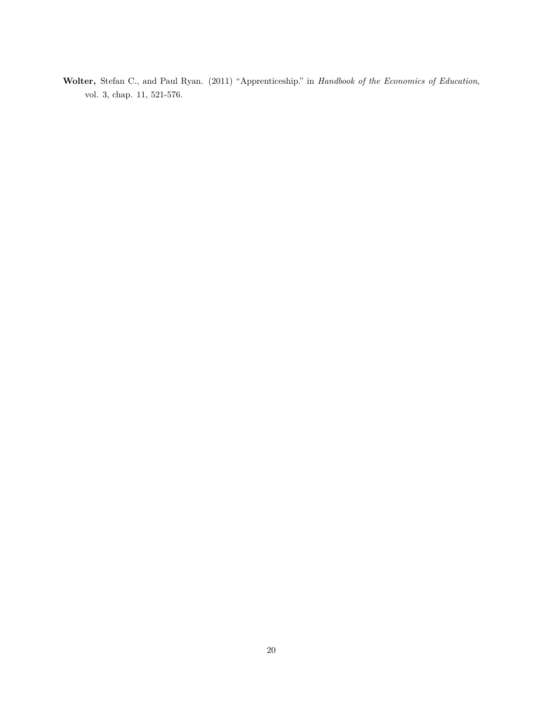**Wolter,** Stefan C., and Paul Ryan. (2011) "Apprenticeship." in *Handbook of the Economics of Education*, vol. 3, chap. 11, 521-576.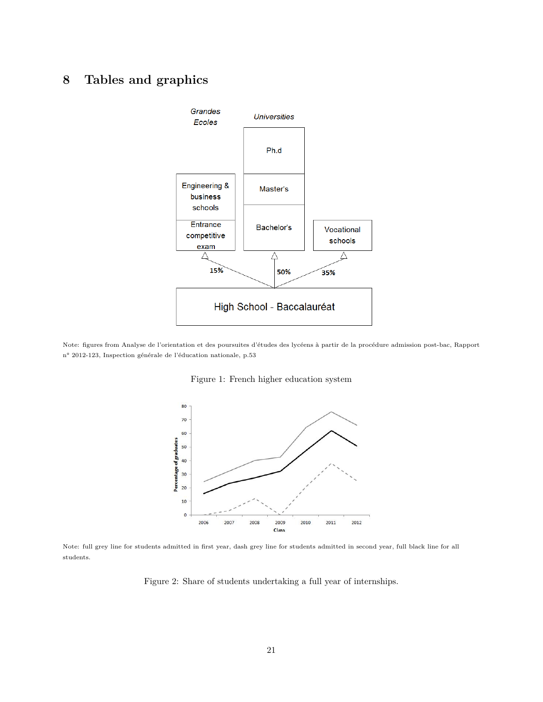## **8 Tables and graphics**



Note: figures from Analyse de l'orientation et des poursuites d'études des lycéens à partir de la procédure admission post-bac, Rapport n° 2012-123, Inspection générale de l'éducation nationale, p.53





Note: full grey line for students admitted in first year, dash grey line for students admitted in second year, full black line for all students.

Figure 2: Share of students undertaking a full year of internships.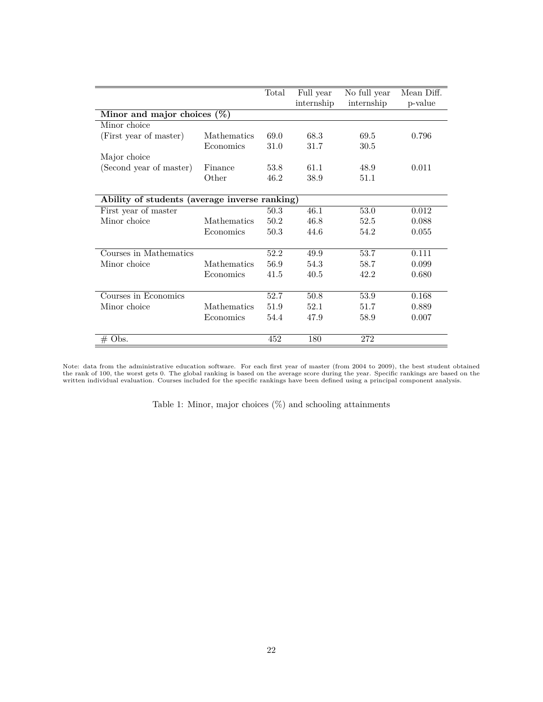| internship<br>internship<br>p-value<br>Minor and major choices $(\%)$<br>Minor choice<br>68.3<br>(First year of master)<br><b>Mathematics</b><br>69.0<br>69.5<br>0.796<br>31.0<br>Economics<br>31.7<br>30.5<br>Major choice<br>(Second year of master)<br>53.8<br>61.1<br>Finance<br>48.9<br>0.011<br>Other<br>38.9<br>46.2<br>51.1<br>Ability of students (average inverse ranking)<br>First year of master<br>50.3<br>46.1<br>53.0<br>0.012<br>Minor choice<br>50.2<br>46.8<br>Mathematics<br>52.5<br>0.088<br>Economics<br>50.3<br>44.6<br>54.2<br>0.055<br>Courses in Mathematics<br>52.2<br>53.7<br>49.9<br>0.111<br>Mathematics<br>56.9<br>54.3<br>0.099<br>Minor choice<br>58.7<br>Economics<br>41.5<br>40.5<br>42.2<br>0.680<br>Courses in Economics<br>52.7<br>50.8<br>53.9<br>0.168<br>Mathematics<br>51.9<br>52.1<br>Minor choice<br>51.7<br>0.889<br>Economics<br>54.4<br>47.9<br>58.9<br>0.007<br>452<br>180<br>272 |          | Total | Full year | No full year | Mean Diff. |
|----------------------------------------------------------------------------------------------------------------------------------------------------------------------------------------------------------------------------------------------------------------------------------------------------------------------------------------------------------------------------------------------------------------------------------------------------------------------------------------------------------------------------------------------------------------------------------------------------------------------------------------------------------------------------------------------------------------------------------------------------------------------------------------------------------------------------------------------------------------------------------------------------------------------------------|----------|-------|-----------|--------------|------------|
|                                                                                                                                                                                                                                                                                                                                                                                                                                                                                                                                                                                                                                                                                                                                                                                                                                                                                                                                  |          |       |           |              |            |
|                                                                                                                                                                                                                                                                                                                                                                                                                                                                                                                                                                                                                                                                                                                                                                                                                                                                                                                                  |          |       |           |              |            |
|                                                                                                                                                                                                                                                                                                                                                                                                                                                                                                                                                                                                                                                                                                                                                                                                                                                                                                                                  |          |       |           |              |            |
|                                                                                                                                                                                                                                                                                                                                                                                                                                                                                                                                                                                                                                                                                                                                                                                                                                                                                                                                  |          |       |           |              |            |
|                                                                                                                                                                                                                                                                                                                                                                                                                                                                                                                                                                                                                                                                                                                                                                                                                                                                                                                                  |          |       |           |              |            |
|                                                                                                                                                                                                                                                                                                                                                                                                                                                                                                                                                                                                                                                                                                                                                                                                                                                                                                                                  |          |       |           |              |            |
|                                                                                                                                                                                                                                                                                                                                                                                                                                                                                                                                                                                                                                                                                                                                                                                                                                                                                                                                  |          |       |           |              |            |
|                                                                                                                                                                                                                                                                                                                                                                                                                                                                                                                                                                                                                                                                                                                                                                                                                                                                                                                                  |          |       |           |              |            |
|                                                                                                                                                                                                                                                                                                                                                                                                                                                                                                                                                                                                                                                                                                                                                                                                                                                                                                                                  |          |       |           |              |            |
|                                                                                                                                                                                                                                                                                                                                                                                                                                                                                                                                                                                                                                                                                                                                                                                                                                                                                                                                  |          |       |           |              |            |
|                                                                                                                                                                                                                                                                                                                                                                                                                                                                                                                                                                                                                                                                                                                                                                                                                                                                                                                                  |          |       |           |              |            |
|                                                                                                                                                                                                                                                                                                                                                                                                                                                                                                                                                                                                                                                                                                                                                                                                                                                                                                                                  |          |       |           |              |            |
|                                                                                                                                                                                                                                                                                                                                                                                                                                                                                                                                                                                                                                                                                                                                                                                                                                                                                                                                  |          |       |           |              |            |
|                                                                                                                                                                                                                                                                                                                                                                                                                                                                                                                                                                                                                                                                                                                                                                                                                                                                                                                                  |          |       |           |              |            |
|                                                                                                                                                                                                                                                                                                                                                                                                                                                                                                                                                                                                                                                                                                                                                                                                                                                                                                                                  |          |       |           |              |            |
|                                                                                                                                                                                                                                                                                                                                                                                                                                                                                                                                                                                                                                                                                                                                                                                                                                                                                                                                  |          |       |           |              |            |
|                                                                                                                                                                                                                                                                                                                                                                                                                                                                                                                                                                                                                                                                                                                                                                                                                                                                                                                                  |          |       |           |              |            |
|                                                                                                                                                                                                                                                                                                                                                                                                                                                                                                                                                                                                                                                                                                                                                                                                                                                                                                                                  |          |       |           |              |            |
|                                                                                                                                                                                                                                                                                                                                                                                                                                                                                                                                                                                                                                                                                                                                                                                                                                                                                                                                  |          |       |           |              |            |
|                                                                                                                                                                                                                                                                                                                                                                                                                                                                                                                                                                                                                                                                                                                                                                                                                                                                                                                                  |          |       |           |              |            |
|                                                                                                                                                                                                                                                                                                                                                                                                                                                                                                                                                                                                                                                                                                                                                                                                                                                                                                                                  |          |       |           |              |            |
|                                                                                                                                                                                                                                                                                                                                                                                                                                                                                                                                                                                                                                                                                                                                                                                                                                                                                                                                  |          |       |           |              |            |
|                                                                                                                                                                                                                                                                                                                                                                                                                                                                                                                                                                                                                                                                                                                                                                                                                                                                                                                                  | $#$ Obs. |       |           |              |            |

Note: data from the administrative education software. For each first year of master (from 2004 to 2009), the best student obtained<br>the rank of 100, the worst gets 0. The global ranking is based on the average score during

Table 1: Minor, major choices (%) and schooling attainments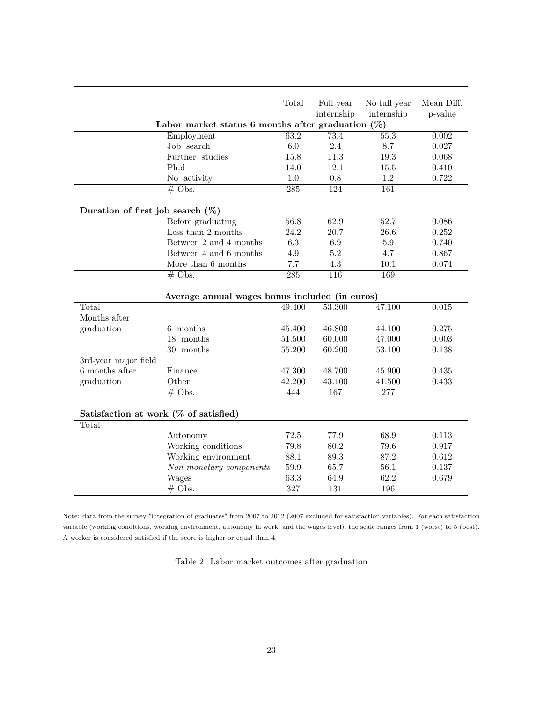| No full year<br>Mean Diff.<br>Total<br>Full year<br>internship<br>internship<br>p-value<br>Labor market status 6 months after graduation $(\%)$<br>$\overline{73.4}$<br>$\overline{55.3}$<br>63.2<br>0.002<br>Employment<br>Job search<br>6.0<br>2.4<br>8.7<br>0.027<br>Further studies<br>15.8<br>11.3<br>19.3<br>0.068<br>Ph.d<br>12.1<br>14.0<br>15.5<br>0.410<br>0.722<br>1.0<br>0.8<br>1.2<br>No activity<br>124<br>$\overline{285}$<br>161<br>$# \; \text{Obs}.$<br>Duration of first job search $(\%)$<br>Before graduating<br>62.9<br>56.8<br>$\overline{52.7}$<br>0.086<br>Less than 2 months<br>24.2<br>20.7<br>26.6<br>0.252<br>Between 2 and 4 months<br>6.3<br>6.9<br>5.9<br>0.740<br>5.2<br>Between 4 and 6 months<br>4.9<br>4.7<br>0.867<br>More than 6 months<br>7.7<br>4.3<br>10.1<br>0.074<br>$\overline{116}$<br>169<br>$# \text{Obs}.$<br>$\overline{285}$<br>Average annual wages bonus included (in euros)<br>53.300<br>47.100<br>0.015<br>Total<br>49.400<br>Months after<br>graduation<br>6 months<br>0.275<br>45.400<br>46.800<br>44.100<br>18 months<br>51.500<br>60.000<br>47.000<br>0.003<br>30 months<br>55.200<br>60.200<br>53.100<br>0.138<br>3rd-year major field<br>6 months after<br>Finance<br>47.300<br>48.700<br>45.900<br>0.435<br>Other<br>0.433<br>graduation<br>42.200<br>43.100<br>41.500<br>$\overline{\text{\# Obs.}}$<br>444<br>167<br>277<br>Satisfaction at work $(\%$ of satisfied)<br>Total<br>72.5<br>77.9<br>68.9<br>Autonomy<br>0.113<br>Working conditions<br>79.8<br>80.2<br>79.6<br>0.917<br>88.1<br>Working environment<br>89.3<br>87.2<br>0.612<br>Non monetary components<br>59.9<br>65.7<br>56.1<br>0.137<br>63.3<br>62.2<br>0.679<br>Wages<br>64.9<br>327<br>$#$ Obs.<br>131<br>196 |  |  |  |
|-------------------------------------------------------------------------------------------------------------------------------------------------------------------------------------------------------------------------------------------------------------------------------------------------------------------------------------------------------------------------------------------------------------------------------------------------------------------------------------------------------------------------------------------------------------------------------------------------------------------------------------------------------------------------------------------------------------------------------------------------------------------------------------------------------------------------------------------------------------------------------------------------------------------------------------------------------------------------------------------------------------------------------------------------------------------------------------------------------------------------------------------------------------------------------------------------------------------------------------------------------------------------------------------------------------------------------------------------------------------------------------------------------------------------------------------------------------------------------------------------------------------------------------------------------------------------------------------------------------------------------------------------------------------------------------------------------------------------------------------------|--|--|--|
|                                                                                                                                                                                                                                                                                                                                                                                                                                                                                                                                                                                                                                                                                                                                                                                                                                                                                                                                                                                                                                                                                                                                                                                                                                                                                                                                                                                                                                                                                                                                                                                                                                                                                                                                                 |  |  |  |
|                                                                                                                                                                                                                                                                                                                                                                                                                                                                                                                                                                                                                                                                                                                                                                                                                                                                                                                                                                                                                                                                                                                                                                                                                                                                                                                                                                                                                                                                                                                                                                                                                                                                                                                                                 |  |  |  |
|                                                                                                                                                                                                                                                                                                                                                                                                                                                                                                                                                                                                                                                                                                                                                                                                                                                                                                                                                                                                                                                                                                                                                                                                                                                                                                                                                                                                                                                                                                                                                                                                                                                                                                                                                 |  |  |  |
|                                                                                                                                                                                                                                                                                                                                                                                                                                                                                                                                                                                                                                                                                                                                                                                                                                                                                                                                                                                                                                                                                                                                                                                                                                                                                                                                                                                                                                                                                                                                                                                                                                                                                                                                                 |  |  |  |
|                                                                                                                                                                                                                                                                                                                                                                                                                                                                                                                                                                                                                                                                                                                                                                                                                                                                                                                                                                                                                                                                                                                                                                                                                                                                                                                                                                                                                                                                                                                                                                                                                                                                                                                                                 |  |  |  |
|                                                                                                                                                                                                                                                                                                                                                                                                                                                                                                                                                                                                                                                                                                                                                                                                                                                                                                                                                                                                                                                                                                                                                                                                                                                                                                                                                                                                                                                                                                                                                                                                                                                                                                                                                 |  |  |  |
|                                                                                                                                                                                                                                                                                                                                                                                                                                                                                                                                                                                                                                                                                                                                                                                                                                                                                                                                                                                                                                                                                                                                                                                                                                                                                                                                                                                                                                                                                                                                                                                                                                                                                                                                                 |  |  |  |
|                                                                                                                                                                                                                                                                                                                                                                                                                                                                                                                                                                                                                                                                                                                                                                                                                                                                                                                                                                                                                                                                                                                                                                                                                                                                                                                                                                                                                                                                                                                                                                                                                                                                                                                                                 |  |  |  |
|                                                                                                                                                                                                                                                                                                                                                                                                                                                                                                                                                                                                                                                                                                                                                                                                                                                                                                                                                                                                                                                                                                                                                                                                                                                                                                                                                                                                                                                                                                                                                                                                                                                                                                                                                 |  |  |  |
|                                                                                                                                                                                                                                                                                                                                                                                                                                                                                                                                                                                                                                                                                                                                                                                                                                                                                                                                                                                                                                                                                                                                                                                                                                                                                                                                                                                                                                                                                                                                                                                                                                                                                                                                                 |  |  |  |
|                                                                                                                                                                                                                                                                                                                                                                                                                                                                                                                                                                                                                                                                                                                                                                                                                                                                                                                                                                                                                                                                                                                                                                                                                                                                                                                                                                                                                                                                                                                                                                                                                                                                                                                                                 |  |  |  |
|                                                                                                                                                                                                                                                                                                                                                                                                                                                                                                                                                                                                                                                                                                                                                                                                                                                                                                                                                                                                                                                                                                                                                                                                                                                                                                                                                                                                                                                                                                                                                                                                                                                                                                                                                 |  |  |  |
|                                                                                                                                                                                                                                                                                                                                                                                                                                                                                                                                                                                                                                                                                                                                                                                                                                                                                                                                                                                                                                                                                                                                                                                                                                                                                                                                                                                                                                                                                                                                                                                                                                                                                                                                                 |  |  |  |
|                                                                                                                                                                                                                                                                                                                                                                                                                                                                                                                                                                                                                                                                                                                                                                                                                                                                                                                                                                                                                                                                                                                                                                                                                                                                                                                                                                                                                                                                                                                                                                                                                                                                                                                                                 |  |  |  |
|                                                                                                                                                                                                                                                                                                                                                                                                                                                                                                                                                                                                                                                                                                                                                                                                                                                                                                                                                                                                                                                                                                                                                                                                                                                                                                                                                                                                                                                                                                                                                                                                                                                                                                                                                 |  |  |  |
|                                                                                                                                                                                                                                                                                                                                                                                                                                                                                                                                                                                                                                                                                                                                                                                                                                                                                                                                                                                                                                                                                                                                                                                                                                                                                                                                                                                                                                                                                                                                                                                                                                                                                                                                                 |  |  |  |
|                                                                                                                                                                                                                                                                                                                                                                                                                                                                                                                                                                                                                                                                                                                                                                                                                                                                                                                                                                                                                                                                                                                                                                                                                                                                                                                                                                                                                                                                                                                                                                                                                                                                                                                                                 |  |  |  |
|                                                                                                                                                                                                                                                                                                                                                                                                                                                                                                                                                                                                                                                                                                                                                                                                                                                                                                                                                                                                                                                                                                                                                                                                                                                                                                                                                                                                                                                                                                                                                                                                                                                                                                                                                 |  |  |  |
|                                                                                                                                                                                                                                                                                                                                                                                                                                                                                                                                                                                                                                                                                                                                                                                                                                                                                                                                                                                                                                                                                                                                                                                                                                                                                                                                                                                                                                                                                                                                                                                                                                                                                                                                                 |  |  |  |
|                                                                                                                                                                                                                                                                                                                                                                                                                                                                                                                                                                                                                                                                                                                                                                                                                                                                                                                                                                                                                                                                                                                                                                                                                                                                                                                                                                                                                                                                                                                                                                                                                                                                                                                                                 |  |  |  |
|                                                                                                                                                                                                                                                                                                                                                                                                                                                                                                                                                                                                                                                                                                                                                                                                                                                                                                                                                                                                                                                                                                                                                                                                                                                                                                                                                                                                                                                                                                                                                                                                                                                                                                                                                 |  |  |  |
|                                                                                                                                                                                                                                                                                                                                                                                                                                                                                                                                                                                                                                                                                                                                                                                                                                                                                                                                                                                                                                                                                                                                                                                                                                                                                                                                                                                                                                                                                                                                                                                                                                                                                                                                                 |  |  |  |
|                                                                                                                                                                                                                                                                                                                                                                                                                                                                                                                                                                                                                                                                                                                                                                                                                                                                                                                                                                                                                                                                                                                                                                                                                                                                                                                                                                                                                                                                                                                                                                                                                                                                                                                                                 |  |  |  |
|                                                                                                                                                                                                                                                                                                                                                                                                                                                                                                                                                                                                                                                                                                                                                                                                                                                                                                                                                                                                                                                                                                                                                                                                                                                                                                                                                                                                                                                                                                                                                                                                                                                                                                                                                 |  |  |  |
|                                                                                                                                                                                                                                                                                                                                                                                                                                                                                                                                                                                                                                                                                                                                                                                                                                                                                                                                                                                                                                                                                                                                                                                                                                                                                                                                                                                                                                                                                                                                                                                                                                                                                                                                                 |  |  |  |
|                                                                                                                                                                                                                                                                                                                                                                                                                                                                                                                                                                                                                                                                                                                                                                                                                                                                                                                                                                                                                                                                                                                                                                                                                                                                                                                                                                                                                                                                                                                                                                                                                                                                                                                                                 |  |  |  |
|                                                                                                                                                                                                                                                                                                                                                                                                                                                                                                                                                                                                                                                                                                                                                                                                                                                                                                                                                                                                                                                                                                                                                                                                                                                                                                                                                                                                                                                                                                                                                                                                                                                                                                                                                 |  |  |  |
|                                                                                                                                                                                                                                                                                                                                                                                                                                                                                                                                                                                                                                                                                                                                                                                                                                                                                                                                                                                                                                                                                                                                                                                                                                                                                                                                                                                                                                                                                                                                                                                                                                                                                                                                                 |  |  |  |
|                                                                                                                                                                                                                                                                                                                                                                                                                                                                                                                                                                                                                                                                                                                                                                                                                                                                                                                                                                                                                                                                                                                                                                                                                                                                                                                                                                                                                                                                                                                                                                                                                                                                                                                                                 |  |  |  |
|                                                                                                                                                                                                                                                                                                                                                                                                                                                                                                                                                                                                                                                                                                                                                                                                                                                                                                                                                                                                                                                                                                                                                                                                                                                                                                                                                                                                                                                                                                                                                                                                                                                                                                                                                 |  |  |  |
|                                                                                                                                                                                                                                                                                                                                                                                                                                                                                                                                                                                                                                                                                                                                                                                                                                                                                                                                                                                                                                                                                                                                                                                                                                                                                                                                                                                                                                                                                                                                                                                                                                                                                                                                                 |  |  |  |
|                                                                                                                                                                                                                                                                                                                                                                                                                                                                                                                                                                                                                                                                                                                                                                                                                                                                                                                                                                                                                                                                                                                                                                                                                                                                                                                                                                                                                                                                                                                                                                                                                                                                                                                                                 |  |  |  |
|                                                                                                                                                                                                                                                                                                                                                                                                                                                                                                                                                                                                                                                                                                                                                                                                                                                                                                                                                                                                                                                                                                                                                                                                                                                                                                                                                                                                                                                                                                                                                                                                                                                                                                                                                 |  |  |  |
|                                                                                                                                                                                                                                                                                                                                                                                                                                                                                                                                                                                                                                                                                                                                                                                                                                                                                                                                                                                                                                                                                                                                                                                                                                                                                                                                                                                                                                                                                                                                                                                                                                                                                                                                                 |  |  |  |

Note: data from the survey "integration of graduates" from 2007 to 2012 (2007 excluded for satisfaction variables). For each satisfaction variable (working conditions, working environment, autonomy in work, and the wages level), the scale ranges from 1 (worst) to 5 (best). A worker is considered satisfied if the score is higher or equal than 4.

Table 2: Labor market outcomes after graduation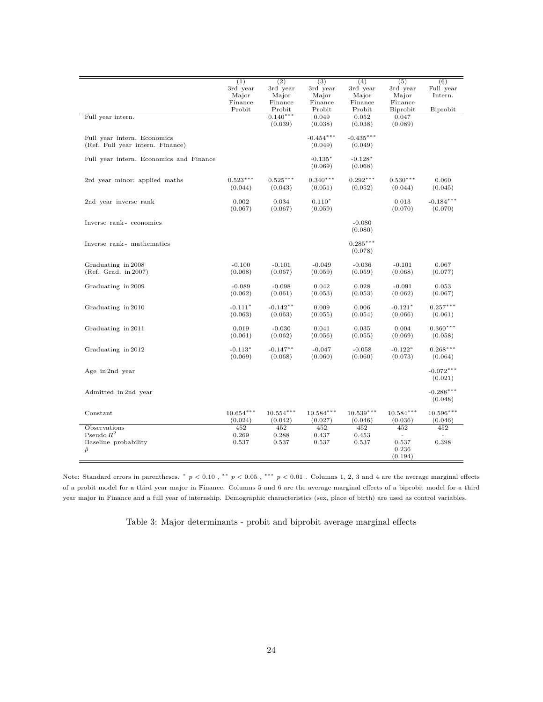|                                         | (1)         | $\overline{(2)}$ | $\overline{(3)}$ | (4)              | $\overline{(5)}$ | $\overline{(6)}$ |
|-----------------------------------------|-------------|------------------|------------------|------------------|------------------|------------------|
|                                         | 3rd year    | 3rd year         | 3rd year         | 3rd year         | 3rd year         | Full year        |
|                                         | Major       | Major            | Major            | Major            | Major            | Intern.          |
|                                         | Finance     | Finance          | Finance          | Finance          | Finance          |                  |
|                                         | Probit      | Probit           | Probit           | Probit           | Biprobit         | Biprobit         |
| Full year intern.                       |             | $0.140***$       | 0.049            | 0.052            | 0.047            |                  |
|                                         |             | (0.039)          | (0.038)          | (0.038)          | (0.089)          |                  |
|                                         |             |                  |                  |                  |                  |                  |
| Full year intern. Economics             |             |                  | $-0.454***$      | $-0.435***$      |                  |                  |
| (Ref. Full year intern. Finance)        |             |                  | (0.049)          | (0.049)          |                  |                  |
|                                         |             |                  |                  |                  |                  |                  |
| Full year intern. Economics and Finance |             |                  | $-0.135*$        | $-0.128*$        |                  |                  |
|                                         |             |                  | (0.069)          | (0.068)          |                  |                  |
|                                         |             |                  |                  |                  |                  |                  |
| 2rd year minor: applied maths           | $0.523***$  | $0.525***$       | $0.340***$       | $0.292***$       | $0.530***$       | 0.060            |
|                                         | (0.044)     | (0.043)          | (0.051)          | (0.052)          | (0.044)          | (0.045)          |
|                                         |             |                  |                  |                  |                  |                  |
| 2nd year inverse rank                   | 0.002       | 0.034            | $0.110*$         |                  | 0.013            | $-0.184***$      |
|                                         | (0.067)     | (0.067)          | (0.059)          |                  | (0.070)          | (0.070)          |
|                                         |             |                  |                  |                  |                  |                  |
| Inverse rank-economics                  |             |                  |                  | $-0.080$         |                  |                  |
|                                         |             |                  |                  | (0.080)          |                  |                  |
|                                         |             |                  |                  |                  |                  |                  |
| Inverse rank- mathematics               |             |                  |                  | $0.285***$       |                  |                  |
|                                         |             |                  |                  | (0.078)          |                  |                  |
|                                         |             |                  |                  |                  |                  |                  |
| Graduating in 2008                      | $-0.100$    | $-0.101$         | $-0.049$         | $-0.036$         | $-0.101$         | 0.067            |
| (Ref. Grad. in 2007)                    | (0.068)     | (0.067)          | (0.059)          | (0.059)          | (0.068)          | (0.077)          |
|                                         |             |                  |                  |                  |                  |                  |
| Graduating in 2009                      | $-0.089$    | $-0.098$         | 0.042            | 0.028            | $-0.091$         | 0.053            |
|                                         | (0.062)     | (0.061)          | (0.053)          | (0.053)          | (0.062)          | (0.067)          |
|                                         |             |                  |                  |                  |                  |                  |
| Graduating in 2010                      | $-0.111*$   | $-0.142**$       | 0.009            | 0.006            | $-0.121*$        | $0.257***$       |
|                                         | (0.063)     | (0.063)          | (0.055)          | (0.054)          | (0.066)          | (0.061)          |
|                                         |             |                  |                  |                  |                  |                  |
| Graduating in 2011                      | 0.019       | $-0.030$         | 0.041            | 0.035            | 0.004            | $0.360***$       |
|                                         | (0.061)     | (0.062)          | (0.056)          | (0.055)          | (0.069)          | (0.058)          |
|                                         |             |                  |                  |                  |                  |                  |
| Graduating in 2012                      | $-0.113*$   | $-0.147**$       | $-0.047$         | $-0.058$         | $-0.122*$        | $0.268***$       |
|                                         | (0.069)     | (0.068)          | (0.060)          | (0.060)          | (0.073)          | (0.064)          |
|                                         |             |                  |                  |                  |                  |                  |
| Age in 2nd year                         |             |                  |                  |                  |                  | $-0.072***$      |
|                                         |             |                  |                  |                  |                  | (0.021)          |
|                                         |             |                  |                  |                  |                  |                  |
| Admitted in 2nd year                    |             |                  |                  |                  |                  | $-0.288***$      |
|                                         |             |                  |                  |                  |                  |                  |
|                                         |             |                  |                  |                  |                  | (0.048)          |
|                                         |             |                  |                  | $10.539***$      |                  | $10.596***$      |
| Constant                                | $10.654***$ | $10.554***$      | $10.584***$      |                  | $10.584***$      |                  |
|                                         | (0.024)     | (0.042)          | (0.027)          | (0.046)          | (0.036)          | (0.046)          |
| <b>Observations</b>                     | 452         | $\overline{452}$ | 452              | $\overline{452}$ | 452              | 452              |
| Pseudo $R^2$                            | 0.269       | 0.288            | 0.437            | 0.453            | $\sim$           | $\sim$           |
| Baseline probability                    | 0.537       | 0.537            | 0.537            | 0.537            | 0.537            | 0.398            |
| $\hat{\rho}$                            |             |                  |                  |                  | 0.236            |                  |
|                                         |             |                  |                  |                  | (0.194)          |                  |

Note: Standard errors in parentheses. <sup>∗</sup> *p <* 0*.*10 , ∗∗ *p <* 0*.*05 , ∗∗∗ *p <* 0*.*01 . Columns 1, 2, 3 and 4 are the average marginal effects of a probit model for a third year major in Finance. Columns 5 and 6 are the average marginal effects of a biprobit model for a third year major in Finance and a full year of internship. Demographic characteristics (sex, place of birth) are used as control variables.

Table 3: Major determinants - probit and biprobit average marginal effects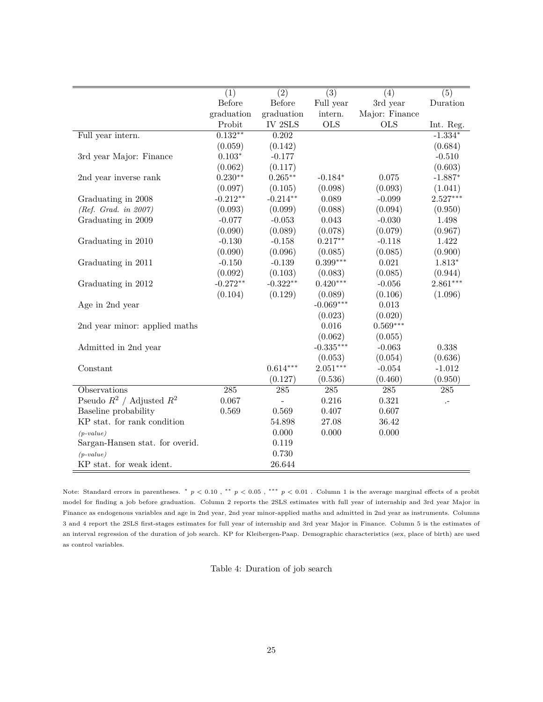|                                 | (1)           | $\overline{(2)}$ | $\overline{(3)}$ | (4)              | $\overline{(5)}$     |
|---------------------------------|---------------|------------------|------------------|------------------|----------------------|
|                                 | <b>Before</b> | Before           | Full year        | 3rd year         | Duration             |
|                                 | graduation    | graduation       | intern.          | Major: Finance   |                      |
|                                 | Probit        | IV 2SLS          | <b>OLS</b>       | <b>OLS</b>       | Int. Reg.            |
| Full year intern.               | $0.132**$     | 0.202            |                  |                  | $-1.334*$            |
|                                 | (0.059)       | (0.142)          |                  |                  | (0.684)              |
| 3rd year Major: Finance         | $0.103*$      | $-0.177$         |                  |                  | $-0.510$             |
|                                 | (0.062)       | (0.117)          |                  |                  | (0.603)              |
| 2nd year inverse rank           | $0.230**$     | $0.265**$        | $-0.184*$        | 0.075            | $-1.887*$            |
|                                 | (0.097)       | (0.105)          | (0.098)          | (0.093)          | (1.041)              |
| Graduating in 2008              | $-0.212**$    | $-0.214**$       | 0.089            | $-0.099$         | $2.527***$           |
| (Ref. Grad. in 2007)            | (0.093)       | (0.099)          | (0.088)          | (0.094)          | (0.950)              |
| Graduating in 2009              | $-0.077$      | $-0.053$         | 0.043            | $-0.030$         | 1.498                |
|                                 | (0.090)       | (0.089)          | (0.078)          | (0.079)          | (0.967)              |
| Graduating in 2010              | $-0.130$      | $-0.158$         | $0.217**$        | $-0.118$         | 1.422                |
|                                 | (0.090)       | (0.096)          | (0.085)          | (0.085)          | (0.900)              |
| Graduating in 2011              | $-0.150$      | $-0.139$         | $0.399***$       | 0.021            | $1.813*$             |
|                                 | (0.092)       | (0.103)          | (0.083)          | (0.085)          | (0.944)              |
| Graduating in 2012              | $-0.272**$    | $-0.322**$       | $0.420***$       | $-0.056$         | $2.861***$           |
|                                 | (0.104)       | (0.129)          | (0.089)          | (0.106)          | (1.096)              |
| Age in 2nd year                 |               |                  | $-0.069***$      | 0.013            |                      |
|                                 |               |                  | (0.023)          | (0.020)          |                      |
| 2nd year minor: applied maths   |               |                  | 0.016            | $0.569***$       |                      |
|                                 |               |                  | (0.062)          | (0.055)          |                      |
| Admitted in 2nd year            |               |                  | $-0.335***$      | $-0.063$         | 0.338                |
|                                 |               |                  | (0.053)          | (0.054)          | (0.636)              |
| Constant                        |               | $0.614***$       | $2.051***$       | $-0.054$         | $-1.012$             |
|                                 |               | (0.127)          | (0.536)          | (0.460)          | (0.950)              |
| Observations                    | 285           | 285              | 285              | $\overline{285}$ | 285                  |
| Pseudo $R^2$ / Adjusted $R^2$   | 0.067         |                  | 0.216            | 0.321            | $\cdot$ <sup>-</sup> |
| Baseline probability            | 0.569         | 0.569            | 0.407            | 0.607            |                      |
| KP stat. for rank condition     |               | 54.898           | 27.08            | 36.42            |                      |
| $(p-value)$                     |               | 0.000            | 0.000            | 0.000            |                      |
| Sargan-Hansen stat. for overid. |               | 0.119            |                  |                  |                      |
| $(p-value)$                     |               | 0.730            |                  |                  |                      |
| KP stat. for weak ident.        |               | 26.644           |                  |                  |                      |

Note: Standard errors in parentheses. \*  $p < 0.10$ , \*\*  $p < 0.05$ , \*\*\*  $p < 0.01$ . Column 1 is the average marginal effects of a probit model for finding a job before graduation. Column 2 reports the 2SLS estimates with full year of internship and 3rd year Major in Finance as endogenous variables and age in 2nd year, 2nd year minor-applied maths and admitted in 2nd year as instruments. Columns 3 and 4 report the 2SLS first-stages estimates for full year of internship and 3rd year Major in Finance. Column 5 is the estimates of an interval regression of the duration of job search. KP for Kleibergen-Paap. Demographic characteristics (sex, place of birth) are used as control variables.

Table 4: Duration of job search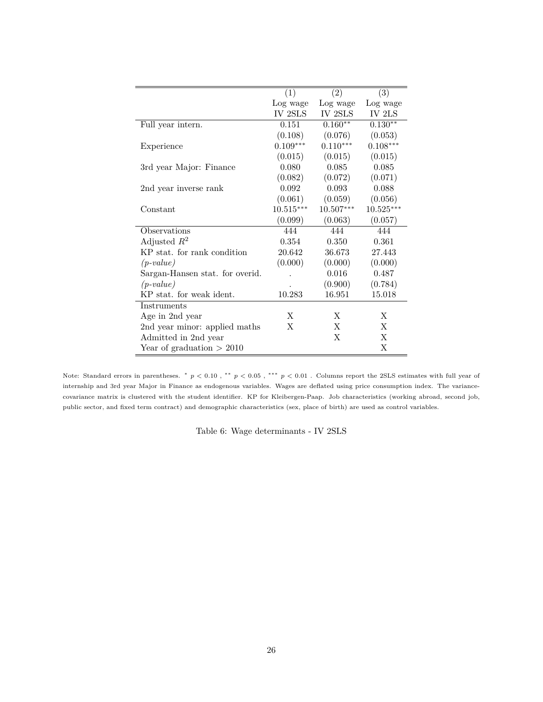|                                 | (1)         | (2)         | (3)                |
|---------------------------------|-------------|-------------|--------------------|
|                                 | Log wage    | Log wage    | Log wage           |
|                                 | IV 2SLS     | IV 2SLS     | $\it IV$ $\rm 2LS$ |
| Full year intern.               | 0.151       | $0.160**$   | $0.130**$          |
|                                 | (0.108)     | (0.076)     | (0.053)            |
| Experience                      | $0.109***$  | $0.110***$  | $0.108***$         |
|                                 | (0.015)     | (0.015)     | (0.015)            |
| 3rd year Major: Finance         | 0.080       | 0.085       | 0.085              |
|                                 | (0.082)     | (0.072)     | (0.071)            |
| 2nd year inverse rank           | 0.092       | 0.093       | 0.088              |
|                                 | (0.061)     | (0.059)     | (0.056)            |
| Constant                        | $10.515***$ | $10.507***$ | $10.525***$        |
|                                 | (0.099)     | (0.063)     | (0.057)            |
| Observations                    | 444         | 444         | 444                |
| Adjusted $R^2$                  | 0.354       | 0.350       | 0.361              |
| KP stat, for rank condition     | 20.642      | 36.673      | 27.443             |
| $(p-value)$                     | (0.000)     | (0.000)     | (0.000)            |
| Sargan-Hansen stat. for overid. |             | 0.016       | 0.487              |
| $(p-value)$                     |             | (0.900)     | (0.784)            |
| KP stat. for weak ident.        | 10.283      | 16.951      | 15.018             |
| Instruments                     |             |             |                    |
| Age in 2nd year                 | X           | X           | X                  |
| 2nd year minor: applied maths   | X           | X           | X                  |
| Admitted in 2nd year            |             | X           | X                  |
| Year of graduation $> 2010$     |             |             | X                  |

Note: Standard errors in parentheses. \*  $p < 0.10$ , \*\*  $p < 0.05$ , \*\*\*  $p < 0.01$ . Columns report the 2SLS estimates with full year of internship and 3rd year Major in Finance as endogenous variables. Wages are deflated using price consumption index. The variancecovariance matrix is clustered with the student identifier. KP for Kleibergen-Paap. Job characteristics (working abroad, second job, public sector, and fixed term contract) and demographic characteristics (sex, place of birth) are used as control variables.

Table 6: Wage determinants - IV 2SLS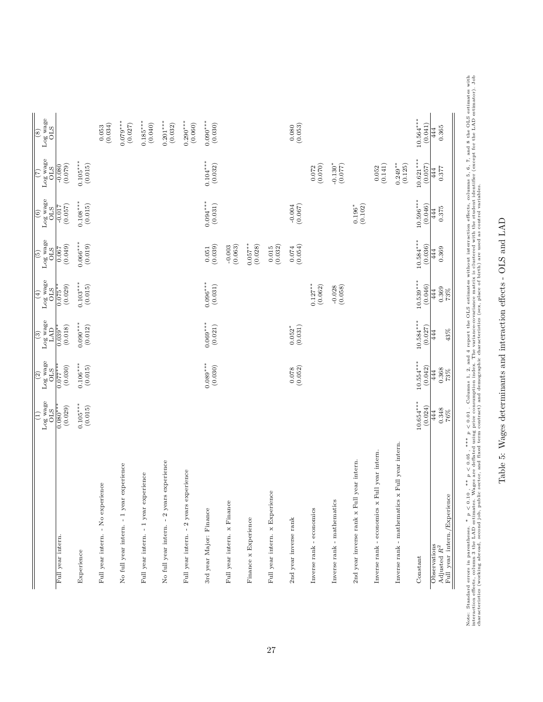| $10.564***$<br>$0.185***$<br>$0.201***$<br>$0.290***$<br>$0.090***$<br>$0.079***$<br>(0.040)<br>(0.060)<br>(0.027)<br>(0.032)<br>(0.034)<br>(0.030)<br>(0.080)<br>(0.041)<br>0.365<br>0.053<br>444<br>$0.104***$<br>$10.621***$<br>$0.105***$<br>$0.249**$<br>(0.015)<br>(0.032)<br>$-0.130*$<br>(0.079)<br>(0.070)<br>(0.077)<br>(0.141)<br>(0.125)<br>(0.057)<br>$-0.080$<br>0.072<br>0.052<br>0.377<br>444<br>$10.596***$<br>$0.094***$<br>$0.108***$<br>(0.031)<br>(0.015)<br>(0.067)<br>(0.102)<br>(0.046)<br>(0.057)<br>$0.196*$<br>$-0.017$<br>0.375<br>444<br>$10.584***$<br>$0.066***$<br>(0.019)<br>$0.057***$<br>(0.036)<br>$(0.074$<br>(0.054)<br>(0.039)<br>(0.028)<br>(0.049)<br>$-0.003$<br>(0.063)<br>(0.032)<br>0.015<br>0.051<br>0.369<br>0.067<br>444<br>$10.539***$<br>$0.096***$<br>$0.103***$<br>(0.031)<br>(0.015)<br>$0.127**$<br>(0.062)<br>(0.046)<br>(0.029)<br>(0.058)<br>$-0.028$<br>0.369<br>$0.075**$<br>444<br>73%<br>$10.584***$<br>$0.069***$<br>$0.090***$<br>(0.012)<br>(0.021)<br>$0.052^*$<br>(0.031)<br>(0.018)<br>(0.027)<br>$0.039**$<br>43%<br>444<br>$10.554***$<br>$0.089***$<br>$0.106***$<br>(0.030)<br>(0.030)<br>(0.015)<br>$\binom{0.078}{0.052}$<br>(0.042)<br>$0.077**$<br>0.368<br>444<br>$73\%$<br>$10.654***$<br>$0.105***$<br>(0.015)<br>(0.024)<br>(0.029)<br>$0.080***$<br>0.348<br>444<br>$76\%$<br>Inverse rank - mathematics x Full year intern.<br>Inverse rank - economics ${\bf x}$ Full year intern.<br>2nd year inverse rank x Full year intern.<br>2 years experience<br>-1 year experience<br>Full year intern. - 2 years experience<br>year experience<br>Full year intern. - No experience<br>Full year intern. x Experience<br>Full year intern./Experience<br>Inverse rank - mathematics<br>Full year intern. x Finance<br>3rd year Major: Finance<br>Inverse rank - economics<br>Finance x Experience<br>2nd year inverse rank<br>$\mathbf{I}$<br>Full year intern. - 1<br>No full year intern.<br>No full year intern.<br>Full year intern.<br>Observations<br>Adjusted $R^2$<br>Experience<br>Constant | $\frac{\text{Log wage}}{\text{OLS}}$<br>$\left  \widehat{\Xi} \right $ | Log wage<br>OLS<br>$\sqrt{2}$ | $_{\rm{LAD}}^{\rm{log \, wage}}$<br>$\circ$ | Log wage<br>OLS<br>$\sqrt{4}$ | $_{\rm{Og \; wase}}^{\rm{long}}$<br>$\boxed{5}$ | Log wage<br>OLS<br>$\circ$ | Log wage<br>OLS<br>$\overline{(\overline{c})}$ | $_{\rm{OLS}}^{\rm{Log\, wage}}$<br>$\frac{1}{\sqrt{2}}$ |
|----------------------------------------------------------------------------------------------------------------------------------------------------------------------------------------------------------------------------------------------------------------------------------------------------------------------------------------------------------------------------------------------------------------------------------------------------------------------------------------------------------------------------------------------------------------------------------------------------------------------------------------------------------------------------------------------------------------------------------------------------------------------------------------------------------------------------------------------------------------------------------------------------------------------------------------------------------------------------------------------------------------------------------------------------------------------------------------------------------------------------------------------------------------------------------------------------------------------------------------------------------------------------------------------------------------------------------------------------------------------------------------------------------------------------------------------------------------------------------------------------------------------------------------------------------------------------------------------------------------------------------------------------------------------------------------------------------------------------------------------------------------------------------------------------------------------------------------------------------------------------------------------------------------------------------------------------------------------------------------------------------------------------------------------------------------------------------|------------------------------------------------------------------------|-------------------------------|---------------------------------------------|-------------------------------|-------------------------------------------------|----------------------------|------------------------------------------------|---------------------------------------------------------|
|                                                                                                                                                                                                                                                                                                                                                                                                                                                                                                                                                                                                                                                                                                                                                                                                                                                                                                                                                                                                                                                                                                                                                                                                                                                                                                                                                                                                                                                                                                                                                                                                                                                                                                                                                                                                                                                                                                                                                                                                                                                                                  |                                                                        |                               |                                             |                               |                                                 |                            |                                                |                                                         |
|                                                                                                                                                                                                                                                                                                                                                                                                                                                                                                                                                                                                                                                                                                                                                                                                                                                                                                                                                                                                                                                                                                                                                                                                                                                                                                                                                                                                                                                                                                                                                                                                                                                                                                                                                                                                                                                                                                                                                                                                                                                                                  |                                                                        |                               |                                             |                               |                                                 |                            |                                                |                                                         |
|                                                                                                                                                                                                                                                                                                                                                                                                                                                                                                                                                                                                                                                                                                                                                                                                                                                                                                                                                                                                                                                                                                                                                                                                                                                                                                                                                                                                                                                                                                                                                                                                                                                                                                                                                                                                                                                                                                                                                                                                                                                                                  |                                                                        |                               |                                             |                               |                                                 |                            |                                                |                                                         |
|                                                                                                                                                                                                                                                                                                                                                                                                                                                                                                                                                                                                                                                                                                                                                                                                                                                                                                                                                                                                                                                                                                                                                                                                                                                                                                                                                                                                                                                                                                                                                                                                                                                                                                                                                                                                                                                                                                                                                                                                                                                                                  |                                                                        |                               |                                             |                               |                                                 |                            |                                                |                                                         |
|                                                                                                                                                                                                                                                                                                                                                                                                                                                                                                                                                                                                                                                                                                                                                                                                                                                                                                                                                                                                                                                                                                                                                                                                                                                                                                                                                                                                                                                                                                                                                                                                                                                                                                                                                                                                                                                                                                                                                                                                                                                                                  |                                                                        |                               |                                             |                               |                                                 |                            |                                                |                                                         |
|                                                                                                                                                                                                                                                                                                                                                                                                                                                                                                                                                                                                                                                                                                                                                                                                                                                                                                                                                                                                                                                                                                                                                                                                                                                                                                                                                                                                                                                                                                                                                                                                                                                                                                                                                                                                                                                                                                                                                                                                                                                                                  |                                                                        |                               |                                             |                               |                                                 |                            |                                                |                                                         |
|                                                                                                                                                                                                                                                                                                                                                                                                                                                                                                                                                                                                                                                                                                                                                                                                                                                                                                                                                                                                                                                                                                                                                                                                                                                                                                                                                                                                                                                                                                                                                                                                                                                                                                                                                                                                                                                                                                                                                                                                                                                                                  |                                                                        |                               |                                             |                               |                                                 |                            |                                                |                                                         |
|                                                                                                                                                                                                                                                                                                                                                                                                                                                                                                                                                                                                                                                                                                                                                                                                                                                                                                                                                                                                                                                                                                                                                                                                                                                                                                                                                                                                                                                                                                                                                                                                                                                                                                                                                                                                                                                                                                                                                                                                                                                                                  |                                                                        |                               |                                             |                               |                                                 |                            |                                                |                                                         |
|                                                                                                                                                                                                                                                                                                                                                                                                                                                                                                                                                                                                                                                                                                                                                                                                                                                                                                                                                                                                                                                                                                                                                                                                                                                                                                                                                                                                                                                                                                                                                                                                                                                                                                                                                                                                                                                                                                                                                                                                                                                                                  |                                                                        |                               |                                             |                               |                                                 |                            |                                                |                                                         |
|                                                                                                                                                                                                                                                                                                                                                                                                                                                                                                                                                                                                                                                                                                                                                                                                                                                                                                                                                                                                                                                                                                                                                                                                                                                                                                                                                                                                                                                                                                                                                                                                                                                                                                                                                                                                                                                                                                                                                                                                                                                                                  |                                                                        |                               |                                             |                               |                                                 |                            |                                                |                                                         |
|                                                                                                                                                                                                                                                                                                                                                                                                                                                                                                                                                                                                                                                                                                                                                                                                                                                                                                                                                                                                                                                                                                                                                                                                                                                                                                                                                                                                                                                                                                                                                                                                                                                                                                                                                                                                                                                                                                                                                                                                                                                                                  |                                                                        |                               |                                             |                               |                                                 |                            |                                                |                                                         |
|                                                                                                                                                                                                                                                                                                                                                                                                                                                                                                                                                                                                                                                                                                                                                                                                                                                                                                                                                                                                                                                                                                                                                                                                                                                                                                                                                                                                                                                                                                                                                                                                                                                                                                                                                                                                                                                                                                                                                                                                                                                                                  |                                                                        |                               |                                             |                               |                                                 |                            |                                                |                                                         |
|                                                                                                                                                                                                                                                                                                                                                                                                                                                                                                                                                                                                                                                                                                                                                                                                                                                                                                                                                                                                                                                                                                                                                                                                                                                                                                                                                                                                                                                                                                                                                                                                                                                                                                                                                                                                                                                                                                                                                                                                                                                                                  |                                                                        |                               |                                             |                               |                                                 |                            |                                                |                                                         |
|                                                                                                                                                                                                                                                                                                                                                                                                                                                                                                                                                                                                                                                                                                                                                                                                                                                                                                                                                                                                                                                                                                                                                                                                                                                                                                                                                                                                                                                                                                                                                                                                                                                                                                                                                                                                                                                                                                                                                                                                                                                                                  |                                                                        |                               |                                             |                               |                                                 |                            |                                                |                                                         |
|                                                                                                                                                                                                                                                                                                                                                                                                                                                                                                                                                                                                                                                                                                                                                                                                                                                                                                                                                                                                                                                                                                                                                                                                                                                                                                                                                                                                                                                                                                                                                                                                                                                                                                                                                                                                                                                                                                                                                                                                                                                                                  |                                                                        |                               |                                             |                               |                                                 |                            |                                                |                                                         |
|                                                                                                                                                                                                                                                                                                                                                                                                                                                                                                                                                                                                                                                                                                                                                                                                                                                                                                                                                                                                                                                                                                                                                                                                                                                                                                                                                                                                                                                                                                                                                                                                                                                                                                                                                                                                                                                                                                                                                                                                                                                                                  |                                                                        |                               |                                             |                               |                                                 |                            |                                                |                                                         |
|                                                                                                                                                                                                                                                                                                                                                                                                                                                                                                                                                                                                                                                                                                                                                                                                                                                                                                                                                                                                                                                                                                                                                                                                                                                                                                                                                                                                                                                                                                                                                                                                                                                                                                                                                                                                                                                                                                                                                                                                                                                                                  |                                                                        |                               |                                             |                               |                                                 |                            |                                                |                                                         |
|                                                                                                                                                                                                                                                                                                                                                                                                                                                                                                                                                                                                                                                                                                                                                                                                                                                                                                                                                                                                                                                                                                                                                                                                                                                                                                                                                                                                                                                                                                                                                                                                                                                                                                                                                                                                                                                                                                                                                                                                                                                                                  |                                                                        |                               |                                             |                               |                                                 |                            |                                                |                                                         |
|                                                                                                                                                                                                                                                                                                                                                                                                                                                                                                                                                                                                                                                                                                                                                                                                                                                                                                                                                                                                                                                                                                                                                                                                                                                                                                                                                                                                                                                                                                                                                                                                                                                                                                                                                                                                                                                                                                                                                                                                                                                                                  |                                                                        |                               |                                             |                               |                                                 |                            |                                                |                                                         |

Note: Standard errors in parentheses. Note: Standard errors in parentheses. \*  $p < 0.10$ , \*\*  $p < 0.05$ , \*\*\*  $p < 0.01$ . Columns 1, 2, and 4 report the OLS estimates without interraction effects, columns 5, 6, 7, and 8 the OLS estimates with interaction effects, \*  $p < 0.10$ , \*\*  $p < 0.05$ , \*\*\*  $p < 0.01$ . Columns 1, 2, and 4 report the OLS estimates without interraction effects, columns 5, 6, 7, and 8 the OLS estimates with  $p \le 0.01$ . The state of the state of the state of the sta interaction effects, column 3 the LAD estimates. Wages are deflated using price consumption index. The variance matrix is clustered with the student identifier (except for the LAD estimator). Job characteristics (working abroad, second job, public sector, and fixed term contract) and demographic characteristics (sex, place of birth) are used as control variables.

Table 5: Wages determinants and interaction effects - OLS and LAD

Table 5: Wages determinants and interaction effects - OLS and LAD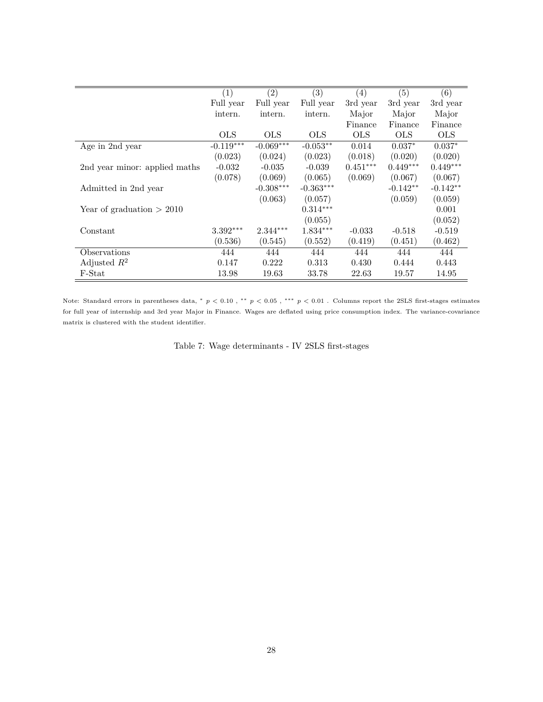|                               | (1)         | (2)         | (3)         | $\left(4\right)$ | (5)        | (6)        |
|-------------------------------|-------------|-------------|-------------|------------------|------------|------------|
|                               | Full year   | Full year   | Full year   | 3rd year         | 3rd year   | 3rd year   |
|                               | intern.     | intern.     | intern.     | Major            | Major      | Major      |
|                               |             |             |             | Finance          | Finance    | Finance    |
|                               | <b>OLS</b>  | <b>OLS</b>  | OLS.        | <b>OLS</b>       | <b>OLS</b> | <b>OLS</b> |
| Age in 2nd year               | $-0.119***$ | $-0.069***$ | $-0.053**$  | 0.014            | $0.037*$   | $0.037*$   |
|                               | (0.023)     | (0.024)     | (0.023)     | (0.018)          | (0.020)    | (0.020)    |
| 2nd year minor: applied maths | $-0.032$    | $-0.035$    | $-0.039$    | $0.451***$       | $0.449***$ | $0.449***$ |
|                               | (0.078)     | (0.069)     | (0.065)     | (0.069)          | (0.067)    | (0.067)    |
| Admitted in 2nd year          |             | $-0.308***$ | $-0.363***$ |                  | $-0.142**$ | $-0.142**$ |
|                               |             | (0.063)     | (0.057)     |                  | (0.059)    | (0.059)    |
| Year of graduation $> 2010$   |             |             | $0.314***$  |                  |            | 0.001      |
|                               |             |             | (0.055)     |                  |            | (0.052)    |
| Constant                      | $3.392***$  | $2.344***$  | $1.834***$  | $-0.033$         | $-0.518$   | $-0.519$   |
|                               | (0.536)     | (0.545)     | (0.552)     | (0.419)          | (0.451)    | (0.462)    |
| Observations                  | 444         | 444         | 444         | 444              | 444        | 444        |
| Adjusted $R^2$                | 0.147       | 0.222       | 0.313       | 0.430            | 0.444      | 0.443      |
| F-Stat                        | 13.98       | 19.63       | 33.78       | 22.63            | 19.57      | 14.95      |

Note: Standard errors in parentheses data, <sup>∗</sup> *p <* 0*.*10 , ∗∗ *p <* 0*.*05 , ∗∗∗ *p <* 0*.*01 . Columns report the 2SLS first-stages estimates for full year of internship and 3rd year Major in Finance. Wages are deflated using price consumption index. The variance-covariance matrix is clustered with the student identifier.

Table 7: Wage determinants - IV 2SLS first-stages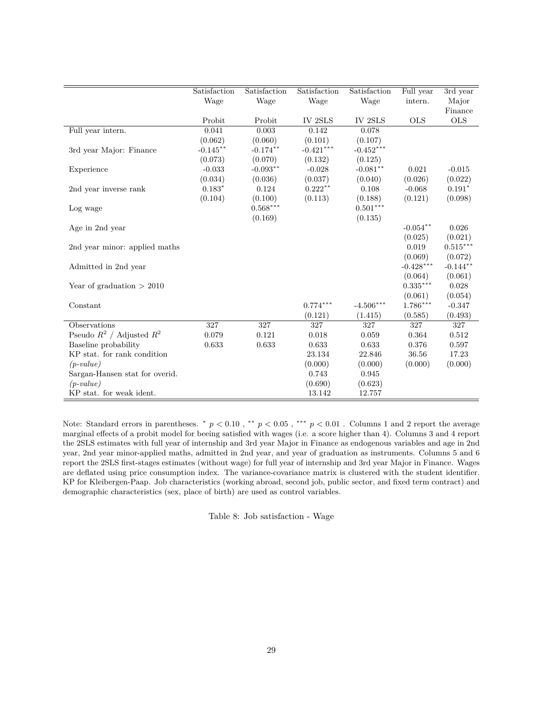|                                                 | Satisfaction | Satisfaction | Satisfaction | Satisfaction           | Full year   | 3rd year   |
|-------------------------------------------------|--------------|--------------|--------------|------------------------|-------------|------------|
|                                                 | Wage         | Wage         | Wage         | Wage                   | intern.     | Major      |
|                                                 |              |              |              |                        |             | Finance    |
|                                                 | Probit       | Probit       | IV 2SLS      | IV 2SLS                | <b>OLS</b>  | <b>OLS</b> |
| Full year intern.                               | 0.041        | 0.003        | 0.142        | 0.078                  |             |            |
|                                                 | (0.062)      | (0.060)      | (0.101)      | (0.107)                |             |            |
| 3rd year Major: Finance                         | $-0.145***$  | $-0.174**$   | $-0.421***$  | $-0.452***$            |             |            |
|                                                 | (0.073)      | (0.070)      | (0.132)      | (0.125)                |             |            |
| Experience                                      | $-0.033$     | $-0.093**$   | $-0.028$     | $-0.081**$             | 0.021       | $-0.015$   |
|                                                 | (0.034)      | (0.036)      | (0.037)      | (0.040)                | (0.026)     | (0.022)    |
| 2nd year inverse rank                           | $0.183*$     | 0.124        | $0.222**$    | 0.108                  | $-0.068$    | $0.191*$   |
|                                                 | (0.104)      | (0.100)      | (0.113)      | (0.188)                | (0.121)     | (0.098)    |
| Log wage                                        |              | $0.568***$   |              | $0.501^{\ast\ast\ast}$ |             |            |
|                                                 |              | (0.169)      |              | (0.135)                |             |            |
| Age in 2nd year                                 |              |              |              |                        | $-0.054**$  | 0.026      |
|                                                 |              |              |              |                        | (0.025)     | (0.021)    |
| 2nd year minor: applied maths                   |              |              |              |                        | 0.019       | $0.515***$ |
|                                                 |              |              |              |                        | (0.069)     | (0.072)    |
| Admitted in 2nd year                            |              |              |              |                        | $-0.428***$ | $-0.144**$ |
|                                                 |              |              |              |                        | (0.064)     | (0.061)    |
| Year of graduation $> 2010$                     |              |              |              |                        | $0.335***$  | 0.028      |
|                                                 |              |              |              |                        | (0.061)     | (0.054)    |
| Constant                                        |              |              | $0.774***$   | $-4.506***$            | $1.786***$  | $-0.347$   |
|                                                 |              |              | (0.121)      | (1.415)                | (0.585)     | (0.493)    |
| Observations                                    | 327          | 327          | 327          | 327                    | 327         | 327        |
| Pseudo $\mathbb{R}^2$ / Adjusted $\mathbb{R}^2$ | 0.079        | 0.121        | 0.018        | 0.059                  | 0.364       | 0.512      |
| Baseline probability                            | 0.633        | 0.633        | 0.633        | 0.633                  | 0.376       | 0.597      |
| KP stat. for rank condition                     |              |              | 23.134       | 22.846                 | 36.56       | 17.23      |
| $(p-value)$                                     |              |              | (0.000)      | (0.000)                | (0.000)     | (0.000)    |
| Sargan-Hansen stat for overid.                  |              |              | 0.743        | 0.945                  |             |            |
| $(p-value)$                                     |              |              | (0.690)      | (0.623)                |             |            |
| KP stat. for weak ident.                        |              |              | 13.142       | 12.757                 |             |            |

Note: Standard errors in parentheses.  $p < 0.10$ ,  $\rightarrow p < 0.05$ ,  $\rightarrow p < 0.01$ . Columns 1 and 2 report the average marginal effects of a probit model for beeing satisfied with wages (i.e. a score higher than 4). Columns 3 and 4 report the 2SLS estimates with full year of internship and 3rd year Major in Finance as endogenous variables and age in 2nd year, 2nd year minor-applied maths, admitted in 2nd year, and year of graduation as instruments. Columns 5 and 6 report the 2SLS first-stages estimates (without wage) for full year of internship and 3rd year Major in Finance. Wages are deflated using price consumption index. The variance-covariance matrix is clustered with the student identifier. KP for Kleibergen-Paap. Job characteristics (working abroad, second job, public sector, and fixed term contract) and demographic characteristics (sex, place of birth) are used as control variables.

Table 8: Job satisfaction - Wage